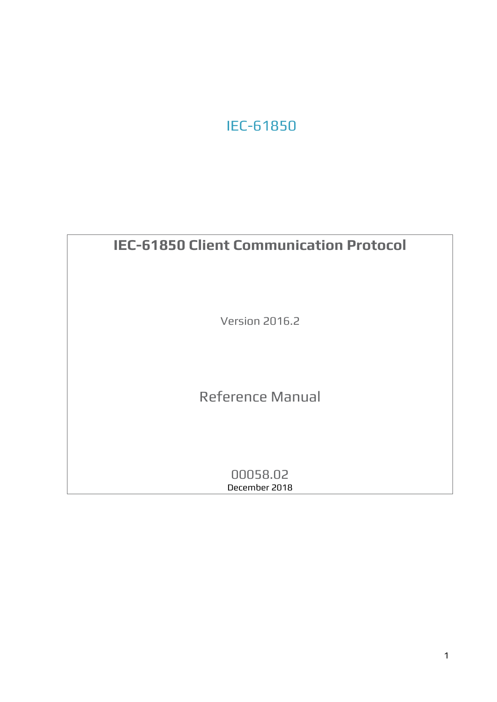# IEC-61850

# **IEC-61850 Client Communication Protocol** Version 2016.2 Reference Manual 00058.02 December 2018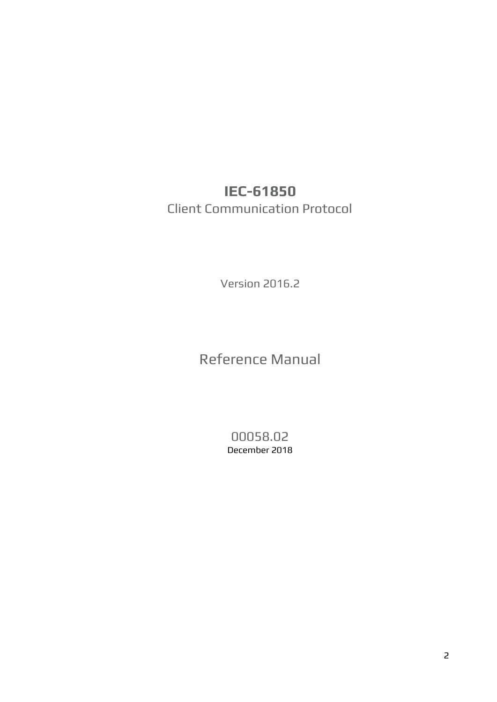# **IEC-61850** Client Communication Protocol

Version 2016.2

Reference Manual

00058.02 December 2018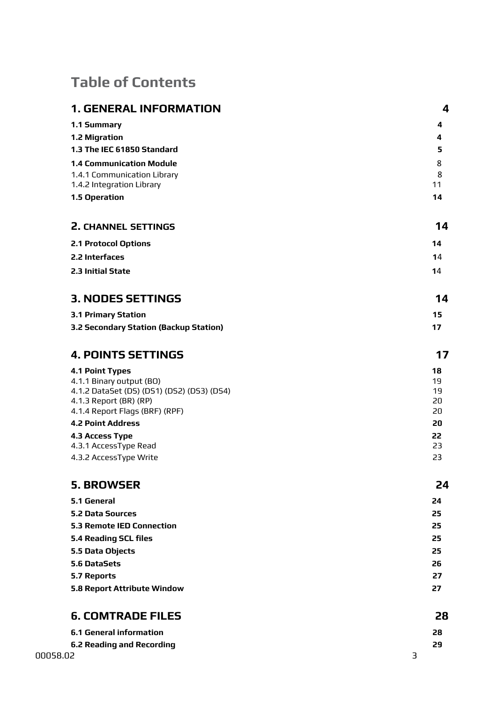# **Table of Contents**

|                              | <b>1. GENERAL INFORMATION</b>                 | 4        |
|------------------------------|-----------------------------------------------|----------|
| 1.1 Summary                  |                                               | 4        |
| 1.2 Migration                |                                               | 4        |
|                              | 1.3 The IEC 61850 Standard                    | 5        |
|                              | <b>1.4 Communication Module</b>               | 8        |
|                              | 1.4.1 Communication Library                   | 8        |
|                              | 1.4.2 Integration Library                     | 11       |
| 1.5 Operation                |                                               | 14       |
|                              | <b>2. CHANNEL SETTINGS</b>                    | 14       |
| <b>2.1 Protocol Options</b>  |                                               | 14       |
| 2.2 Interfaces               |                                               | 14       |
| 2.3 Initial State            |                                               | 14       |
|                              | <b>3. NODES SETTINGS</b>                      | 14       |
| <b>3.1 Primary Station</b>   |                                               | 15       |
|                              | <b>3.2 Secondary Station (Backup Station)</b> | 17       |
|                              | <b>4. POINTS SETTINGS</b>                     | 17       |
| <b>4.1 Point Types</b>       |                                               | 18       |
|                              | 4.1.1 Binary output (BO)                      | 19       |
| 4.1.3 Report (BR) (RP)       | 4.1.2 DataSet (DS) (DS1) (DS2) (DS3) (DS4)    | 19<br>20 |
|                              | 4.1.4 Report Flags (BRF) (RPF)                | 20       |
| <b>4.2 Point Address</b>     |                                               | 20       |
| 4.3 Access Type              |                                               | 22       |
|                              | 4.3.1 AccessType Read                         | 23       |
|                              | 4.3.2 AccessType Write                        | 23       |
| <b>5. BROWSER</b>            |                                               | 24       |
| <b>5.1 General</b>           |                                               | 24       |
| <b>5.2 Data Sources</b>      |                                               | 25       |
|                              | <b>5.3 Remote IED Connection</b>              | 25       |
| <b>5.4 Reading SCL files</b> |                                               | 25       |
| 5.5 Data Objects             |                                               | 25       |
| 5.6 DataSets                 |                                               | 26       |
| <b>5.7 Reports</b>           |                                               | 27       |
|                              | 5.8 Report Attribute Window                   | 27       |
|                              | <b>6. COMTRADE FILES</b>                      | 28       |
|                              | <b>6.1 General information</b>                | 28       |
|                              | <b>6.2 Reading and Recording</b>              | 29       |
| 00058.02                     |                                               | 3        |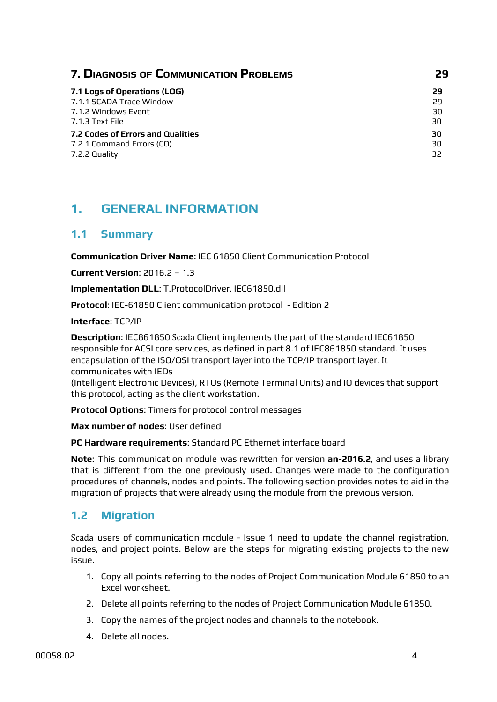| <b>7. DIAGNOSIS OF COMMUNICATION PROBLEMS</b> | 29 |
|-----------------------------------------------|----|
| 7.1 Logs of Operations (LOG)                  | 29 |
| 7.1.1 SCADA Trace Window                      | 29 |
| 7.1.2 Windows Event                           | 30 |
| 7.1.3 Text File                               | 30 |
| 7.2 Codes of Errors and Qualities             | 30 |
| 7.2.1 Command Errors (CO)                     | 30 |
| 7.2.2 Quality                                 | 32 |

## <span id="page-3-0"></span>**1. GENERAL INFORMATION**

#### <span id="page-3-1"></span>**1.1 Summary**

**Communication Driver Name**: IEC 61850 Client Communication Protocol

**Current Version**: 2016.2 – 1.3

**Implementation DLL**: T.ProtocolDriver. IEC61850.dll

**Protocol**: IEC-61850 Client communication protocol - Edition 2

**Interface**: TCP/IP

**Description**: IEC861850 Scada Client implements the part of the standard IEC61850 responsible for ACSI core services, as defined in part 8.1 of IEC861850 standard. It uses encapsulation of the ISO/OSI transport layer into the TCP/IP transport layer. It communicates with IEDs

(Intelligent Electronic Devices), RTUs (Remote Terminal Units) and IO devices that support this protocol, acting as the client workstation.

**Protocol Options**: Timers for protocol control messages

**Max number of nodes**: User defined

**PC Hardware requirements**: Standard PC Ethernet interface board

**Note**: This communication module was rewritten for version **an-2016.2**, and uses a library that is different from the one previously used. Changes were made to the configuration procedures of channels, nodes and points. The following section provides notes to aid in the migration of projects that were already using the module from the previous version.

#### <span id="page-3-2"></span>**1.2 Migration**

Scada users of communication module - Issue 1 need to update the channel registration, nodes, and project points. Below are the steps for migrating existing projects to the new issue.

- 1. Copy all points referring to the nodes of Project Communication Module 61850 to an Excel worksheet.
- 2. Delete all points referring to the nodes of Project Communication Module 61850.
- 3. Copy the names of the project nodes and channels to the notebook.
- 4. Delete all nodes.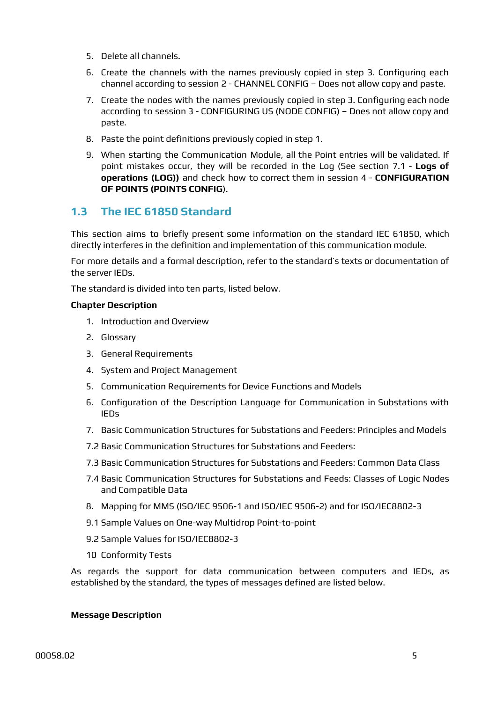- 5. Delete all channels.
- 6. Create the channels with the names previously copied in step 3. Configuring each channel according to session 2 - CHANNEL CONFIG – Does not allow copy and paste.
- 7. Create the nodes with the names previously copied in step 3. Configuring each node according to session 3 - CONFIGURING US (NODE CONFIG) – Does not allow copy and paste.
- 8. Paste the point definitions previously copied in step 1.
- 9. When starting the Communication Module, all the Point entries will be validated. If point mistakes occur, they will be recorded in the Log (See section 7.1 - **Logs of operations (LOG))** and check how to correct them in session 4 - **CONFIGURATION OF POINTS (POINTS CONFIG**).

#### <span id="page-4-0"></span>**1.3 The IEC 61850 Standard**

This section aims to briefly present some information on the standard IEC 61850, which directly interferes in the definition and implementation of this communication module.

For more details and a formal description, refer to the standard's texts or documentation of the server IEDs.

The standard is divided into ten parts, listed below.

#### **Chapter Description**

- 1. Introduction and Overview
- 2. Glossary
- 3. General Requirements
- 4. System and Project Management
- 5. Communication Requirements for Device Functions and Models
- 6. Configuration of the Description Language for Communication in Substations with IEDs
- 7. Basic Communication Structures for Substations and Feeders: Principles and Models
- 7.2 Basic Communication Structures for Substations and Feeders:
- 7.3 Basic Communication Structures for Substations and Feeders: Common Data Class
- 7.4 Basic Communication Structures for Substations and Feeds: Classes of Logic Nodes and Compatible Data
- 8. Mapping for MMS (ISO/IEC 9506-1 and ISO/IEC 9506-2) and for ISO/IEC8802-3
- 9.1 Sample Values on One-way Multidrop Point-to-point
- 9.2 Sample Values for ISO/IEC8802-3
- 10 Conformity Tests

As regards the support for data communication between computers and IEDs, as established by the standard, the types of messages defined are listed below.

#### **Message Description**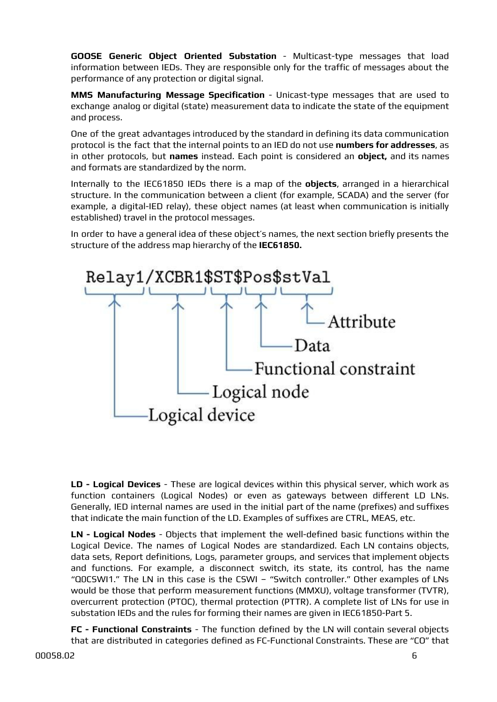**GOOSE Generic Object Oriented Substation** - Multicast-type messages that load information between IEDs. They are responsible only for the traffic of messages about the performance of any protection or digital signal.

**MMS Manufacturing Message Specification** - Unicast-type messages that are used to exchange analog or digital (state) measurement data to indicate the state of the equipment and process.

One of the great advantages introduced by the standard in defining its data communication protocol is the fact that the internal points to an IED do not use **numbers for addresses**, as in other protocols, but **names** instead. Each point is considered an **object,** and its names and formats are standardized by the norm.

Internally to the IEC61850 IEDs there is a map of the **objects**, arranged in a hierarchical structure. In the communication between a client (for example, SCADA) and the server (for example, a digital-IED relay), these object names (at least when communication is initially established) travel in the protocol messages.

In order to have a general idea of these object's names, the next section briefly presents the structure of the address map hierarchy of the **IEC61850.**



**LD - Logical Devices** - These are logical devices within this physical server, which work as function containers (Logical Nodes) or even as gateways between different LD LNs. Generally, IED internal names are used in the initial part of the name (prefixes) and suffixes that indicate the main function of the LD. Examples of suffixes are CTRL, MEAS, etc.

**LN - Logical Nodes** - Objects that implement the well-defined basic functions within the Logical Device. The names of Logical Nodes are standardized. Each LN contains objects, data sets, Report definitions, Logs, parameter groups, and services that implement objects and functions. For example, a disconnect switch, its state, its control, has the name "Q0CSWI1." The LN in this case is the CSWI – "Switch controller." Other examples of LNs would be those that perform measurement functions (MMXU), voltage transformer (TVTR), overcurrent protection (PTOC), thermal protection (PTTR). A complete list of LNs for use in substation IEDs and the rules for forming their names are given in IEC61850-Part 5.

**FC - Functional Constraints** - The function defined by the LN will contain several objects that are distributed in categories defined as FC-Functional Constraints. These are "CO" that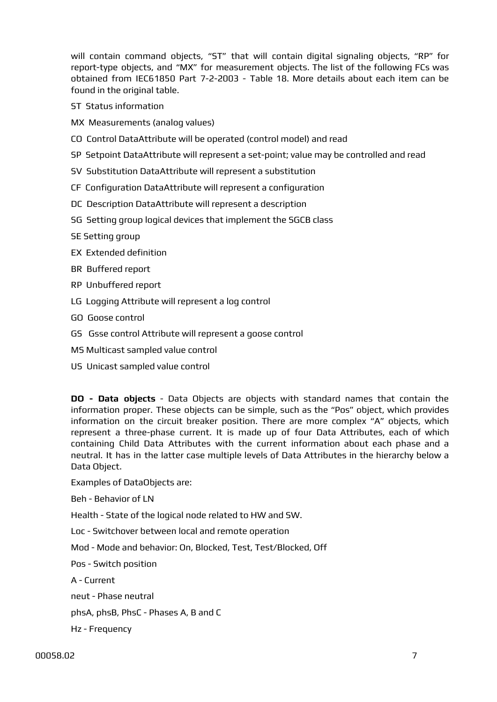will contain command objects, "ST" that will contain digital signaling objects, "RP" for report-type objects, and "MX" for measurement objects. The list of the following FCs was obtained from IEC61850 Part 7-2-2003 - Table 18. More details about each item can be found in the original table.

- ST Status information
- MX Measurements (analog values)
- CO Control DataAttribute will be operated (control model) and read
- SP Setpoint DataAttribute will represent a set-point; value may be controlled and read
- SV Substitution DataAttribute will represent a substitution
- CF Configuration DataAttribute will represent a configuration
- DC Description DataAttribute will represent a description
- SG Setting group logical devices that implement the SGCB class
- SE Setting group
- EX Extended definition
- BR Buffered report
- RP Unbuffered report
- LG Logging Attribute will represent a log control
- GO Goose control
- GS Gsse control Attribute will represent a goose control
- MS Multicast sampled value control
- US Unicast sampled value control

**DO - Data objects** - Data Objects are objects with standard names that contain the information proper. These objects can be simple, such as the "Pos" object, which provides information on the circuit breaker position. There are more complex "A" objects, which represent a three-phase current. It is made up of four Data Attributes, each of which containing Child Data Attributes with the current information about each phase and a neutral. It has in the latter case multiple levels of Data Attributes in the hierarchy below a Data Object.

Examples of DataObjects are:

Beh - Behavior of LN

Health - State of the logical node related to HW and SW.

Loc - Switchover between local and remote operation

Mod - Mode and behavior: On, Blocked, Test, Test/Blocked, Off

Pos - Switch position

A - Current

neut - Phase neutral

phsA, phsB, PhsC - Phases A, B and C

Hz - Frequency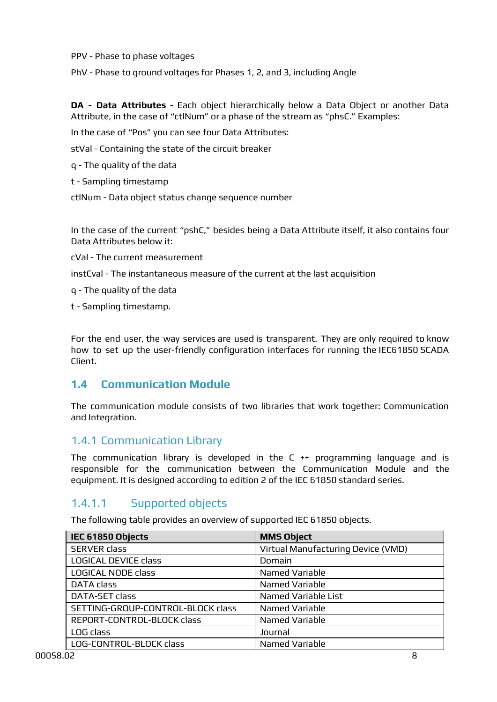PPV - Phase to phase voltages

PhV - Phase to ground voltages for Phases 1, 2, and 3, including Angle

**DA - Data Attributes** - Each object hierarchically below a Data Object or another Data Attribute, in the case of "ctlNum" or a phase of the stream as "phsC." Examples:

In the case of "Pos" you can see four Data Attributes:

stVal - Containing the state of the circuit breaker

q - The quality of the data

t - Sampling timestamp

ctlNum - Data object status change sequence number

In the case of the current "pshC," besides being a Data Attribute itself, it also contains four Data Attributes below it:

cVal - The current measurement

instCval - The instantaneous measure of the current at the last acquisition

q - The quality of the data

t - Sampling timestamp.

For the end user, the way services are used is transparent. They are only required to know how to set up the user-friendly configuration interfaces for running the IEC61850 SCADA Client.

#### <span id="page-7-0"></span>**1.4 Communication Module**

The communication module consists of two libraries that work together: Communication and Integration.

#### <span id="page-7-1"></span>1.4.1 Communication Library

The communication library is developed in the C ++ programming language and is responsible for the communication between the Communication Module and the equipment. It is designed according to edition 2 of the IEC 61850 standard series.

## 1.4.1.1 Supported objects

The following table provides an overview of supported IEC 61850 objects.

| IEC 61850 Objects                 | <b>MMS Object</b>                  |
|-----------------------------------|------------------------------------|
| <b>SERVER class</b>               | Virtual Manufacturing Device (VMD) |
| <b>LOGICAL DEVICE class</b>       | Domain                             |
| LOGICAL NODE class                | Named Variable                     |
| <b>DATA</b> class                 | Named Variable                     |
| DATA-SET class                    | Named Variable List                |
| SETTING-GROUP-CONTROL-BLOCK class | Named Variable                     |
| REPORT-CONTROL-BLOCK class        | Named Variable                     |
| LOG class                         | Journal                            |
| LOG-CONTROL-BLOCK class           | Named Variable                     |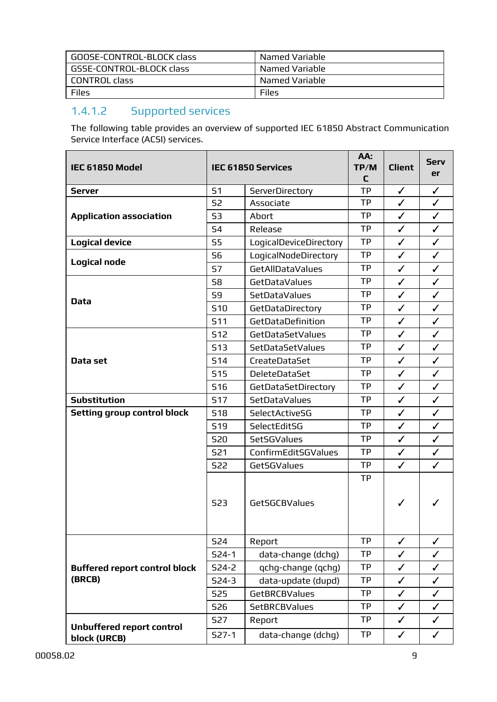| GOOSE-CONTROL-BLOCK class | Named Variable |
|---------------------------|----------------|
| GSSE-CONTROL-BLOCK class  | Named Variable |
| l CONTROL class           | Named Variable |
| Files                     | Files          |

# 1.4.1.2 Supported services

The following table provides an overview of supported IEC 61850 Abstract Communication Service Interface (ACSI) services.

| IEC 61850 Model                                  |            | <b>IEC 61850 Services</b> | AA:<br>TP/M<br>C | <b>Client</b> | <b>Serv</b><br>er |
|--------------------------------------------------|------------|---------------------------|------------------|---------------|-------------------|
| <b>Server</b>                                    | 51         | ServerDirectory           | <b>TP</b>        | $\checkmark$  | $\checkmark$      |
|                                                  | <b>S2</b>  | Associate                 | <b>TP</b>        | $\checkmark$  | $\checkmark$      |
| <b>Application association</b>                   | 53         | Abort                     | TP               | $\checkmark$  | $\checkmark$      |
|                                                  | 54         | Release                   | <b>TP</b>        | ✓             | $\checkmark$      |
| <b>Logical device</b>                            | 55         | LogicalDeviceDirectory    | <b>TP</b>        | $\checkmark$  | $\checkmark$      |
| <b>Logical node</b>                              | <b>S6</b>  | LogicalNodeDirectory      | <b>TP</b>        | $\checkmark$  | $\checkmark$      |
|                                                  | <b>S7</b>  | GetAllDataValues          | TP               | $\checkmark$  | $\checkmark$      |
|                                                  | 58         | GetDataValues             | <b>TP</b>        | $\checkmark$  | $\checkmark$      |
| <b>Data</b>                                      | 59         | SetDataValues             | <b>TP</b>        | $\checkmark$  | $\checkmark$      |
|                                                  | <b>S10</b> | GetDataDirectory          | <b>TP</b>        | $\checkmark$  | $\checkmark$      |
|                                                  | <b>S11</b> | GetDataDefinition         | <b>TP</b>        | $\checkmark$  | $\checkmark$      |
|                                                  | <b>S12</b> | GetDataSetValues          | <b>TP</b>        | $\checkmark$  | $\checkmark$      |
|                                                  | <b>S13</b> | SetDataSetValues          | <b>TP</b>        | $\checkmark$  | $\checkmark$      |
| Data set                                         | 514        | CreateDataSet             | <b>TP</b>        | $\checkmark$  | $\checkmark$      |
|                                                  | <b>S15</b> | <b>DeleteDataSet</b>      | <b>TP</b>        | $\checkmark$  | $\checkmark$      |
|                                                  | <b>S16</b> | GetDataSetDirectory       | <b>TP</b>        | ✓             | $\checkmark$      |
| <b>Substitution</b>                              | <b>S17</b> | SetDataValues             | <b>TP</b>        | $\checkmark$  | $\checkmark$      |
| <b>Setting group control block</b>               | <b>S18</b> | SelectActiveSG            | <b>TP</b>        | $\checkmark$  | $\checkmark$      |
|                                                  | <b>S19</b> | SelectEditSG              | <b>TP</b>        | $\checkmark$  | $\checkmark$      |
|                                                  | <b>S20</b> | SetSGValues               | <b>TP</b>        | $\checkmark$  | $\checkmark$      |
|                                                  | <b>S21</b> | ConfirmEditSGValues       | <b>TP</b>        | $\checkmark$  | $\checkmark$      |
|                                                  | <b>S22</b> | GetSGValues               | <b>TP</b>        | $\checkmark$  | $\checkmark$      |
|                                                  | <b>S23</b> | GetSGCBValues             | <b>TP</b>        | ✓             |                   |
|                                                  | <b>S24</b> | Report                    | <b>TP</b>        | ✓             | ✓                 |
|                                                  | $524-1$    | data-change (dchq)        | <b>TP</b>        | $\checkmark$  | $\checkmark$      |
| <b>Buffered report control block</b>             | $524 - 2$  | qchq-change (qchq)        | <b>TP</b>        | $\checkmark$  | $\checkmark$      |
| (BRCB)                                           | $524-3$    | data-update (dupd)        | <b>TP</b>        | $\checkmark$  | $\checkmark$      |
|                                                  | <b>S25</b> | GetBRCBValues             | <b>TP</b>        | $\checkmark$  | $\checkmark$      |
|                                                  | <b>S26</b> | <b>SetBRCBValues</b>      | <b>TP</b>        | $\checkmark$  | $\checkmark$      |
|                                                  | <b>S27</b> | Report                    | <b>TP</b>        | ✓             | $\checkmark$      |
| <b>Unbuffered report control</b><br>block (URCB) | $527-1$    | data-change (dchg)        | <b>TP</b>        | $\checkmark$  | $\checkmark$      |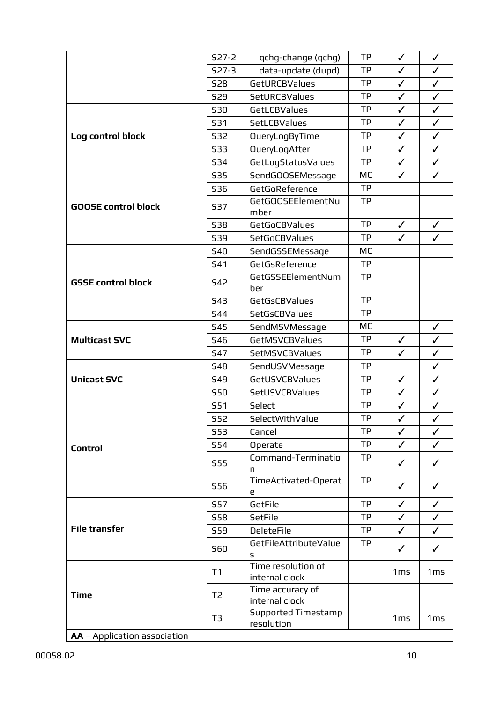|                              | $527 - 2$      | qchg-change (qchg)                       | <b>TP</b> | $\checkmark$ | $\checkmark$    |
|------------------------------|----------------|------------------------------------------|-----------|--------------|-----------------|
|                              | $527-3$        | data-update (dupd)                       | <b>TP</b> | $\checkmark$ | $\checkmark$    |
|                              | <b>S28</b>     | GetURCBValues                            | <b>TP</b> | $\checkmark$ | $\checkmark$    |
|                              | <b>S29</b>     | <b>SetURCBValues</b>                     | <b>TP</b> | $\checkmark$ | $\checkmark$    |
|                              | <b>S30</b>     | GetLCBValues                             | <b>TP</b> | $\checkmark$ | $\checkmark$    |
|                              | <b>S31</b>     | <b>SetLCBValues</b>                      | <b>TP</b> | $\checkmark$ | $\checkmark$    |
| Log control block            | <b>S32</b>     | <b>QueryLogByTime</b>                    | <b>TP</b> | $\checkmark$ | $\checkmark$    |
|                              | <b>S33</b>     | QueryLogAfter                            | <b>TP</b> | $\checkmark$ | $\checkmark$    |
|                              | 534            | GetLogStatusValues                       | <b>TP</b> | $\checkmark$ | $\checkmark$    |
|                              | <b>S35</b>     | SendGOOSEMessage                         | MC        | $\checkmark$ | $\checkmark$    |
|                              | <b>S36</b>     | GetGoReference                           | <b>TP</b> |              |                 |
| <b>GOOSE control block</b>   | <b>S37</b>     | GetGOOSEElementNu<br>mber                | <b>TP</b> |              |                 |
|                              | <b>S38</b>     | <b>GetGoCBValues</b>                     | <b>TP</b> | $\checkmark$ | $\checkmark$    |
|                              | <b>S39</b>     | <b>SetGoCBValues</b>                     | <b>TP</b> | $\checkmark$ | $\checkmark$    |
|                              | <b>S40</b>     | SendGSSEMessage                          | MC        |              |                 |
|                              | <b>S41</b>     | GetGsReference                           | <b>TP</b> |              |                 |
| <b>GSSE control block</b>    | <b>S42</b>     | GetGSSEElementNum<br>ber                 | <b>TP</b> |              |                 |
|                              | <b>S43</b>     | GetGsCBValues                            | <b>TP</b> |              |                 |
|                              | 544            | SetGsCBValues                            | <b>TP</b> |              |                 |
|                              | <b>S45</b>     | SendMSVMessage                           | <b>MC</b> |              | $\checkmark$    |
| <b>Multicast SVC</b>         | 546            | <b>GetMSVCBValues</b>                    | <b>TP</b> | $\checkmark$ | $\checkmark$    |
|                              | <b>S47</b>     | <b>SetMSVCBValues</b>                    | <b>TP</b> | $\checkmark$ | $\checkmark$    |
|                              | <b>S48</b>     | SendUSVMessage                           | <b>TP</b> |              | $\checkmark$    |
| <b>Unicast SVC</b>           | <b>S49</b>     | <b>GetUSVCBValues</b>                    | <b>TP</b> | $\checkmark$ | $\checkmark$    |
|                              | <b>S50</b>     | SetUSVCBValues                           | <b>TP</b> | $\checkmark$ | $\checkmark$    |
|                              | <b>S51</b>     | Select                                   | <b>TP</b> | $\checkmark$ | $\checkmark$    |
|                              | <b>S52</b>     | SelectWithValue                          | <b>TP</b> | $\checkmark$ | $\checkmark$    |
|                              | <b>S53</b>     | Cancel                                   | <b>TP</b> | $\checkmark$ | $\checkmark$    |
| <b>Control</b>               | <b>S54</b>     | Operate                                  | <b>TP</b> | $\checkmark$ | ✓               |
|                              | <b>S55</b>     | Command-Terminatio<br>n                  | <b>TP</b> | $\checkmark$ | $\checkmark$    |
|                              | <b>S56</b>     | TimeActivated-Operat<br>е                | <b>TP</b> | $\checkmark$ | $\checkmark$    |
|                              | <b>S57</b>     | GetFile                                  | <b>TP</b> | $\checkmark$ | $\checkmark$    |
|                              | <b>S58</b>     | <b>SetFile</b>                           | <b>TP</b> | $\checkmark$ | $\checkmark$    |
| <b>File transfer</b>         | <b>S59</b>     | <b>DeleteFile</b>                        | <b>TP</b> | $\checkmark$ | $\checkmark$    |
|                              | <b>S60</b>     | GetFileAttributeValue<br>s               | <b>TP</b> | $\checkmark$ | ✓               |
|                              | T1             | Time resolution of<br>internal clock     |           | 1ms          | 1 <sub>ms</sub> |
| <b>Time</b>                  | T <sub>2</sub> | Time accuracy of<br>internal clock       |           |              |                 |
|                              | T <sub>3</sub> | <b>Supported Timestamp</b><br>resolution |           | 1ms          | 1 <sub>ms</sub> |
| AA - Application association |                |                                          |           |              |                 |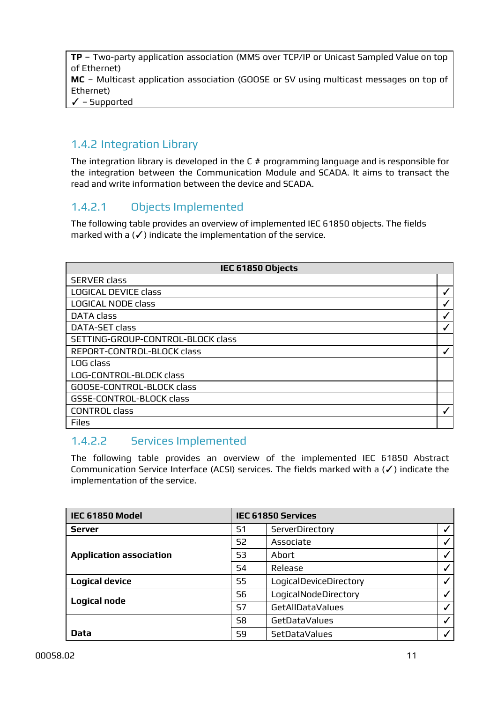**TP** – Two-party application association (MMS over TCP/IP or Unicast Sampled Value on top of Ethernet) **MC** – Multicast application association (GOOSE or SV using multicast messages on top of Ethernet) ✓ – Supported

## <span id="page-10-0"></span>1.4.2 Integration Library

The integration library is developed in the C # programming language and is responsible for the integration between the Communication Module and SCADA. It aims to transact the read and write information between the device and SCADA.

#### 1.4.2.1 Objects Implemented

The following table provides an overview of implemented IEC 61850 objects. The fields marked with a  $(V)$  indicate the implementation of the service.

| IEC 61850 Objects                 |   |  |
|-----------------------------------|---|--|
| <b>SERVER class</b>               |   |  |
| <b>LOGICAL DEVICE class</b>       |   |  |
| <b>LOGICAL NODE class</b>         |   |  |
| <b>DATA class</b>                 | ✔ |  |
| DATA-SET class                    |   |  |
| SETTING-GROUP-CONTROL-BLOCK class |   |  |
| REPORT-CONTROL-BLOCK class        |   |  |
| LOG class                         |   |  |
| LOG-CONTROL-BLOCK class           |   |  |
| GOOSE-CONTROL-BLOCK class         |   |  |
| GSSE-CONTROL-BLOCK class          |   |  |
| <b>CONTROL class</b>              |   |  |
| <b>Files</b>                      |   |  |

#### 1.4.2.2 Services Implemented

The following table provides an overview of the implemented IEC 61850 Abstract Communication Service Interface (ACSI) services. The fields marked with a (✓) indicate the implementation of the service.

| IEC 61850 Model                | <b>IEC 61850 Services</b> |                         |  |  |
|--------------------------------|---------------------------|-------------------------|--|--|
| <b>Server</b>                  | 51                        | ServerDirectory         |  |  |
|                                | S2                        | Associate               |  |  |
| <b>Application association</b> | S <sub>3</sub>            | Abort                   |  |  |
|                                | S <sub>4</sub>            | Release                 |  |  |
| <b>Logical device</b>          | S5                        | LogicalDeviceDirectory  |  |  |
|                                | S6                        | LogicalNodeDirectory    |  |  |
| <b>Logical node</b>            | S7                        | <b>GetAllDataValues</b> |  |  |
|                                | S8                        | <b>GetDataValues</b>    |  |  |
| <b>Data</b>                    | 59                        | <b>SetDataValues</b>    |  |  |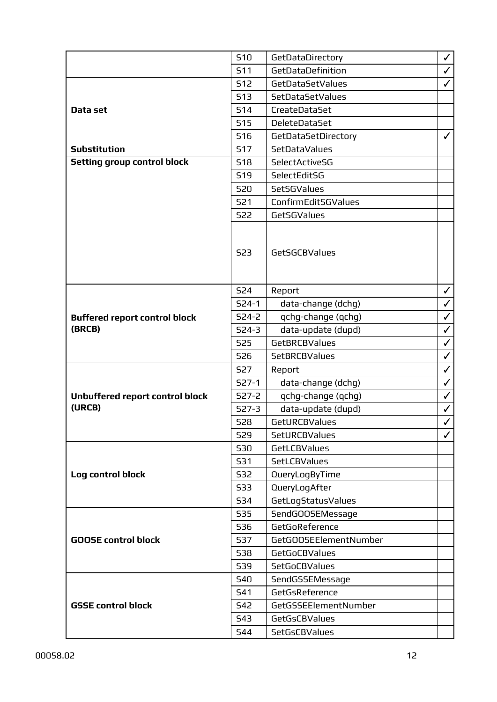|                                      | <b>S10</b> | GetDataDirectory      | $\checkmark$ |
|--------------------------------------|------------|-----------------------|--------------|
|                                      | <b>S11</b> | GetDataDefinition     | $\checkmark$ |
|                                      | <b>S12</b> | GetDataSetValues      | $\checkmark$ |
|                                      | 513        | SetDataSetValues      |              |
| Data set                             | <b>S14</b> | CreateDataSet         |              |
|                                      | <b>S15</b> | <b>DeleteDataSet</b>  |              |
|                                      | <b>S16</b> | GetDataSetDirectory   | $\checkmark$ |
| <b>Substitution</b>                  | <b>S17</b> | <b>SetDataValues</b>  |              |
| <b>Setting group control block</b>   | <b>S18</b> | SelectActiveSG        |              |
|                                      | <b>S19</b> | SelectEditSG          |              |
|                                      | <b>S20</b> | <b>SetSGValues</b>    |              |
|                                      | <b>S21</b> | ConfirmEditSGValues   |              |
|                                      | <b>S22</b> | <b>GetSGValues</b>    |              |
|                                      | <b>S23</b> | GetSGCBValues         |              |
|                                      | <b>S24</b> | Report                | $\checkmark$ |
|                                      | $524-1$    | data-change (dchg)    | $\checkmark$ |
| <b>Buffered report control block</b> | $524 - 2$  | qchg-change (qchg)    | $\checkmark$ |
| (BRCB)                               | $524-3$    | data-update (dupd)    | $\checkmark$ |
|                                      | <b>S25</b> | GetBRCBValues         | $\checkmark$ |
|                                      | <b>S26</b> | <b>SetBRCBValues</b>  | $\checkmark$ |
|                                      | <b>S27</b> | Report                | $\checkmark$ |
|                                      | $527-1$    | data-change (dchg)    | $\checkmark$ |
| Unbuffered report control block      | $S27-2$    | qchg-change (qchg)    | $\checkmark$ |
| (URCB)                               | $527 - 3$  | data-update (dupd)    | $\checkmark$ |
|                                      | <b>S28</b> | <b>GetURCBValues</b>  | $\checkmark$ |
|                                      | <b>S29</b> | <b>SetURCBValues</b>  | $\checkmark$ |
|                                      | <b>S30</b> | GetLCBValues          |              |
|                                      | <b>S31</b> | <b>SetLCBValues</b>   |              |
| Log control block                    | 532        | QueryLogByTime        |              |
|                                      | 533        | QueryLogAfter         |              |
|                                      | <b>S34</b> | GetLogStatusValues    |              |
|                                      | <b>S35</b> | SendGOOSEMessage      |              |
|                                      | <b>S36</b> | GetGoReference        |              |
| <b>GOOSE control block</b>           | <b>S37</b> | GetGOOSEElementNumber |              |
|                                      | <b>S38</b> | <b>GetGoCBValues</b>  |              |
|                                      | <b>S39</b> | SetGoCBValues         |              |
|                                      | <b>S40</b> | SendGSSEMessage       |              |
|                                      | <b>S41</b> | GetGsReference        |              |
| <b>GSSE control block</b>            | <b>S42</b> | GetGSSEElementNumber  |              |
|                                      | 543        | GetGsCBValues         |              |
|                                      | <b>S44</b> | SetGsCBValues         |              |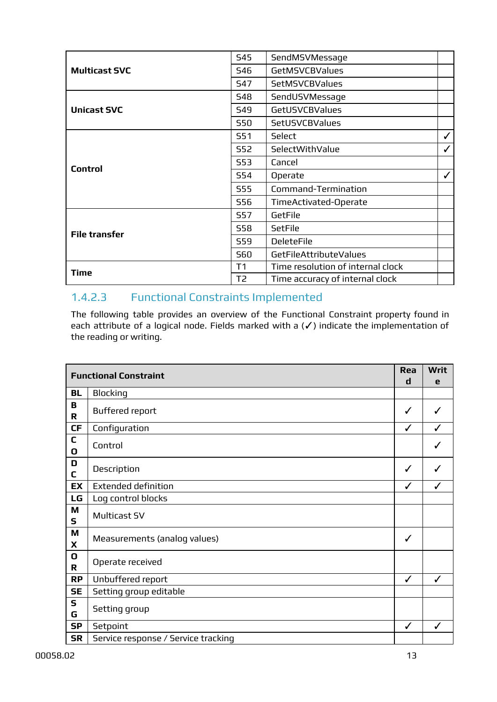|                      | <b>S45</b>     | SendMSVMessage                    |   |
|----------------------|----------------|-----------------------------------|---|
| <b>Multicast SVC</b> | <b>S46</b>     | <b>GetMSVCBValues</b>             |   |
|                      | <b>S47</b>     | <b>SetMSVCBValues</b>             |   |
|                      | <b>S48</b>     | SendUSVMessage                    |   |
| <b>Unicast SVC</b>   | <b>S49</b>     | <b>GetUSVCBValues</b>             |   |
|                      | <b>S50</b>     | <b>SetUSVCBValues</b>             |   |
|                      | <b>S51</b>     | Select                            | ✓ |
|                      | <b>S52</b>     | SelectWithValue                   | ✓ |
|                      | <b>S53</b>     | Cancel                            |   |
| <b>Control</b>       | <b>S54</b>     | Operate                           | ✓ |
|                      | <b>S55</b>     | Command-Termination               |   |
|                      | <b>S56</b>     | TimeActivated-Operate             |   |
|                      | <b>S57</b>     | GetFile                           |   |
| <b>File transfer</b> | <b>S58</b>     | <b>SetFile</b>                    |   |
|                      | <b>S59</b>     | <b>DeleteFile</b>                 |   |
|                      | <b>S60</b>     | GetFileAttributeValues            |   |
| Time                 | T1             | Time resolution of internal clock |   |
|                      | T <sub>2</sub> | Time accuracy of internal clock   |   |

## 1.4.2.3 Functional Constraints Implemented

The following table provides an overview of the Functional Constraint property found in each attribute of a logical node. Fields marked with a (✓) indicate the implementation of the reading or writing.

|                   | <b>Functional Constraint</b>        | Rea<br>d     | <b>Writ</b><br>е |
|-------------------|-------------------------------------|--------------|------------------|
| BL                | <b>Blocking</b>                     |              |                  |
| B<br>R            | <b>Buffered report</b>              | ✓            |                  |
| <b>CF</b>         | Configuration                       | ✓            |                  |
| C<br>O            | Control                             |              |                  |
| D<br>C            | Description                         | ✓            |                  |
| EX                | <b>Extended definition</b>          | ✓            | J                |
| LG                | Log control blocks                  |              |                  |
| M<br>$\mathsf{s}$ | Multicast SV                        |              |                  |
| M<br>X            | Measurements (analog values)        | $\checkmark$ |                  |
| O<br>R            | Operate received                    |              |                  |
| <b>RP</b>         | Unbuffered report                   | ✓            | J                |
| <b>SE</b>         | Setting group editable              |              |                  |
| $\mathsf{s}$<br>G | Setting group                       |              |                  |
| <b>SP</b>         | Setpoint                            | $\checkmark$ | ✓                |
| <b>SR</b>         | Service response / Service tracking |              |                  |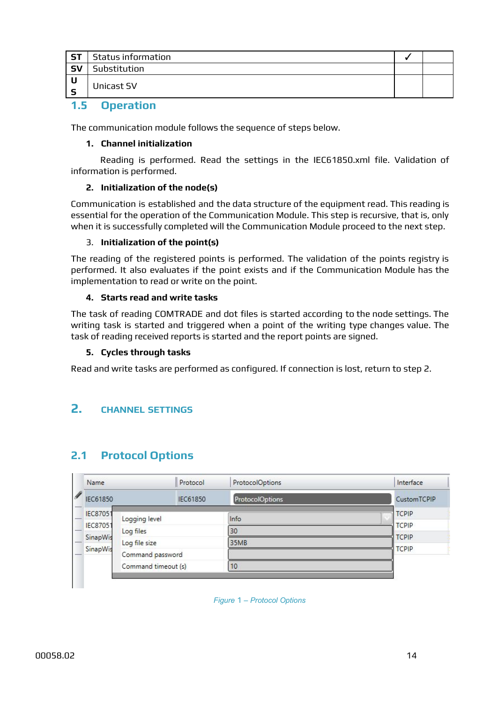| $\overline{\phantom{a}}$ ST | <b>Status information</b> |  |
|-----------------------------|---------------------------|--|
| S <sub>V</sub>              | Substitution              |  |
| <b>U</b><br>-S              | Unicast SV                |  |
| __                          | - -                       |  |

<span id="page-13-0"></span>**1.5 Operation**

The communication module follows the sequence of steps below.

#### **1. Channel initialization**

Reading is performed. Read the settings in the IEC61850.xml file. Validation of information is performed.

#### **2. Initialization of the node(s)**

Communication is established and the data structure of the equipment read. This reading is essential for the operation of the Communication Module. This step is recursive, that is, only when it is successfully completed will the Communication Module proceed to the next step.

#### 3. **Initialization of the point(s)**

The reading of the registered points is performed. The validation of the points registry is performed. It also evaluates if the point exists and if the Communication Module has the implementation to read or write on the point.

#### **4. Starts read and write tasks**

The task of reading COMTRADE and dot files is started according to the node settings. The writing task is started and triggered when a point of the writing type changes value. The task of reading received reports is started and the report points are signed.

#### **5. Cycles through tasks**

Read and write tasks are performed as configured. If connection is lost, return to step 2.

#### <span id="page-13-1"></span>**2. CHANNEL SETTINGS**

## <span id="page-13-2"></span>**2.1 Protocol Options**

| Name            | Protocol            | <b>ProtocolOptions</b> | Interface          |
|-----------------|---------------------|------------------------|--------------------|
| IEC61850        | IEC61850            | <b>ProtocolOptions</b> | <b>CustomTCPIP</b> |
| <b>IEC87051</b> | Logging level       | Info                   | <b>TCPIP</b>       |
| <b>IEC87051</b> | Log files           | 30                     | <b>TCPIP</b>       |
| SinapWis        | Log file size       | 35MB                   | <b>TCPIP</b>       |
| SinapWis        | Command password    |                        | <b>TCPIP</b>       |
|                 | Command timeout (s) | 10                     |                    |

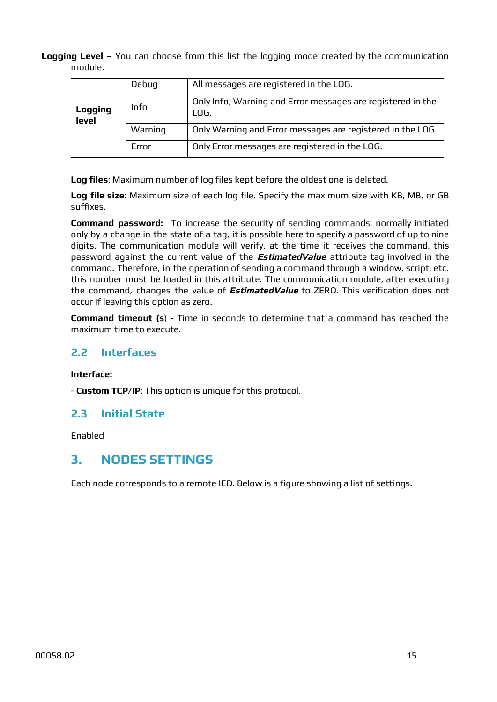**Logging Level –** You can choose from this list the logging mode created by the communication module.

|                         | Debug   | All messages are registered in the LOG.                             |
|-------------------------|---------|---------------------------------------------------------------------|
| <b>Logging</b><br>level | Info    | Only Info, Warning and Error messages are registered in the<br>LOG. |
|                         | Warning | Only Warning and Error messages are registered in the LOG.          |
|                         | Error   | Only Error messages are registered in the LOG.                      |

**Log files**: Maximum number of log files kept before the oldest one is deleted.

**Log file size:** Maximum size of each log file. Specify the maximum size with KB, MB, or GB suffixes.

**Command password:** To increase the security of sending commands, normally initiated only by a change in the state of a tag, it is possible here to specify a password of up to nine digits. The communication module will verify, at the time it receives the command, this password against the current value of the **EstimatedValue** attribute tag involved in the command. Therefore, in the operation of sending a command through a window, script, etc. this number must be loaded in this attribute. The communication module, after executing the command, changes the value of **EstimatedValue** to ZERO. This verification does not occur if leaving this option as zero.

**Command timeout (s**) - Time in seconds to determine that a command has reached the maximum time to execute.

#### <span id="page-14-0"></span>**2.2 Interfaces**

**Interface:**

- **Custom TCP/IP**: This option is unique for this protocol.

#### <span id="page-14-1"></span>**2.3 Initial State**

Enabled

## <span id="page-14-2"></span>**3. NODES SETTINGS**

Each node corresponds to a remote IED. Below is a figure showing a list of settings.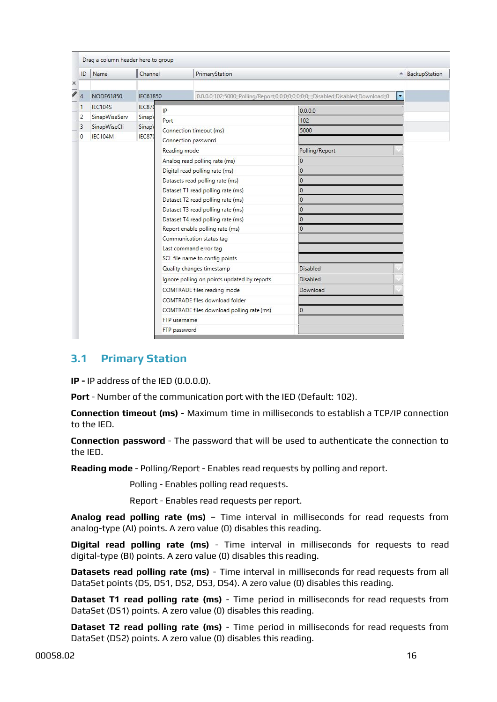| ID      | Name           | Channel  |              | PrimaryStation                              |                                                                                      |                          | - BackupStation |  |
|---------|----------------|----------|--------------|---------------------------------------------|--------------------------------------------------------------------------------------|--------------------------|-----------------|--|
| ⋇<br>7  | NODE61850      | IEC61850 |              |                                             | 0.0.0.0;102;5000;;Polling/Report;0;0;0;0;0;0;0;0;0;;;;;Disabled;Disabled;Download;;0 | $\overline{\phantom{a}}$ |                 |  |
| 1       | <b>IEC104S</b> | IEC870   | IP           |                                             | 0.0.0.0                                                                              |                          |                 |  |
| 2       | SinapWiseServ  | Sinapl   | Port         |                                             | 102                                                                                  |                          |                 |  |
| 3       | SinapWiseCli   | Sinapl   |              | Connection timeout (ms)                     | 5000                                                                                 |                          |                 |  |
| $\circ$ | IEC104M        | IEC870   |              | Connection password                         |                                                                                      |                          |                 |  |
|         |                |          | Reading mode |                                             | Polling/Report                                                                       |                          |                 |  |
|         |                |          |              | Analog read polling rate (ms)               | $\circ$                                                                              |                          |                 |  |
|         |                |          |              | Digital read polling rate (ms)              | $\mathbf{0}$                                                                         |                          |                 |  |
|         |                |          |              | Datasets read polling rate (ms)             | $\overline{0}$                                                                       |                          |                 |  |
|         |                |          |              | Dataset T1 read polling rate (ms)           | 0                                                                                    |                          |                 |  |
|         |                |          |              | Dataset T2 read polling rate (ms)           | $\Omega$                                                                             |                          |                 |  |
|         |                |          |              | Dataset T3 read polling rate (ms)           | $\mathbf{0}$                                                                         |                          |                 |  |
|         |                |          |              | Dataset T4 read polling rate (ms)           | 0                                                                                    |                          |                 |  |
|         |                |          |              | Report enable polling rate (ms)             | $\mathbf{0}$                                                                         |                          |                 |  |
|         |                |          |              | Communication status tag                    |                                                                                      |                          |                 |  |
|         |                |          |              | Last command error tag                      |                                                                                      |                          |                 |  |
|         |                |          |              | SCL file name to config points              |                                                                                      |                          |                 |  |
|         |                |          |              | Quality changes timestamp                   | <b>Disabled</b>                                                                      |                          |                 |  |
|         |                |          |              | Ignore polling on points updated by reports | <b>Disabled</b>                                                                      |                          |                 |  |
|         |                |          |              | COMTRADE files reading mode                 | Download                                                                             |                          |                 |  |
|         |                |          |              | COMTRADE files download folder              |                                                                                      |                          |                 |  |
|         |                |          |              | COMTRADE files download polling rate (ms)   | $\mathbf{0}$                                                                         |                          |                 |  |
|         |                |          | FTP username |                                             |                                                                                      |                          |                 |  |
|         |                |          | FTP password |                                             |                                                                                      |                          |                 |  |

#### <span id="page-15-0"></span>**3.1 Primary Station**

**IP -** IP address of the IED (0.0.0.0).

**Port** - Number of the communication port with the IED (Default: 102).

**Connection timeout (ms)** - Maximum time in milliseconds to establish a TCP/IP connection to the IED.

**Connection password** - The password that will be used to authenticate the connection to the IED.

**Reading mode** - Polling/Report - Enables read requests by polling and report.

Polling - Enables polling read requests.

Report - Enables read requests per report.

**Analog read polling rate (ms)** – Time interval in milliseconds for read requests from analog-type (AI) points. A zero value (0) disables this reading.

**Digital read polling rate (ms)** - Time interval in milliseconds for requests to read digital-type (BI) points. A zero value (0) disables this reading.

**Datasets read polling rate (ms)** - Time interval in milliseconds for read requests from all DataSet points (DS, DS1, DS2, DS3, DS4). A zero value (0) disables this reading.

**Dataset T1 read polling rate (ms)** - Time period in milliseconds for read requests from DataSet (DS1) points. A zero value (0) disables this reading.

**Dataset T2 read polling rate (ms)** - Time period in milliseconds for read requests from DataSet (DS2) points. A zero value (0) disables this reading.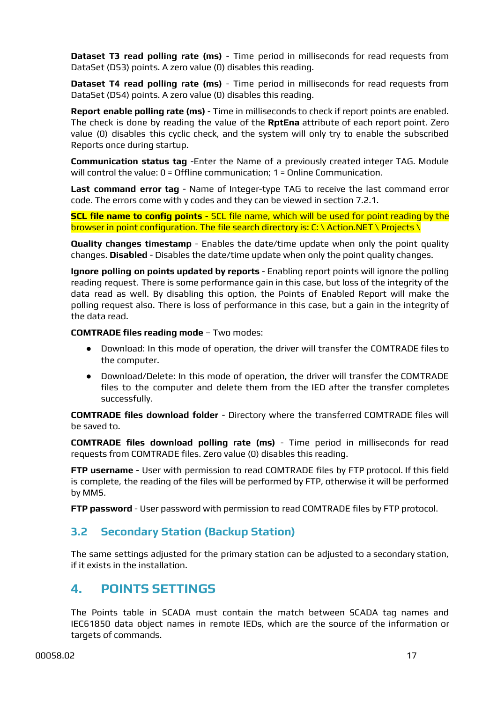**Dataset T3 read polling rate (ms)** - Time period in milliseconds for read requests from DataSet (DS3) points. A zero value (0) disables this reading.

**Dataset T4 read polling rate (ms)** - Time period in milliseconds for read requests from DataSet (DS4) points. A zero value (0) disables this reading.

**Report enable polling rate (ms)** - Time in milliseconds to check if report points are enabled. The check is done by reading the value of the **RptEna** attribute of each report point. Zero value (0) disables this cyclic check, and the system will only try to enable the subscribed Reports once during startup.

**Communication status tag** -Enter the Name of a previously created integer TAG. Module will control the value: 0 = Offline communication; 1 = Online Communication.

**Last command error tag** - Name of Integer-type TAG to receive the last command error code. The errors come with y codes and they can be viewed in section 7.2.1.

**SCL file name to config points** - SCL file name, which will be used for point reading by the browser in point configuration. The file search directory is: C: \ Action.NET \ Projects \

**Quality changes timestamp** - Enables the date/time update when only the point quality changes. **Disabled** - Disables the date/time update when only the point quality changes.

**Ignore polling on points updated by reports** - Enabling report points will ignore the polling reading request. There is some performance gain in this case, but loss of the integrity of the data read as well. By disabling this option, the Points of Enabled Report will make the polling request also. There is loss of performance in this case, but a gain in the integrity of the data read.

**COMTRADE files reading mode** – Two modes:

- Download: In this mode of operation, the driver will transfer the COMTRADE files to the computer.
- Download/Delete: In this mode of operation, the driver will transfer the COMTRADE files to the computer and delete them from the IED after the transfer completes successfully.

**COMTRADE files download folder** - Directory where the transferred COMTRADE files will be saved to.

**COMTRADE files download polling rate (ms)** - Time period in milliseconds for read requests from COMTRADE files. Zero value (0) disables this reading.

**FTP username** - User with permission to read COMTRADE files by FTP protocol. If this field is complete, the reading of the files will be performed by FTP, otherwise it will be performed by MMS.

**FTP password** - User password with permission to read COMTRADE files by FTP protocol.

#### <span id="page-16-0"></span>**3.2 Secondary Station (Backup Station)**

The same settings adjusted for the primary station can be adjusted to a secondary station, if it exists in the installation.

## <span id="page-16-1"></span>**4. POINTS SETTINGS**

The Points table in SCADA must contain the match between SCADA tag names and IEC61850 data object names in remote IEDs, which are the source of the information or targets of commands.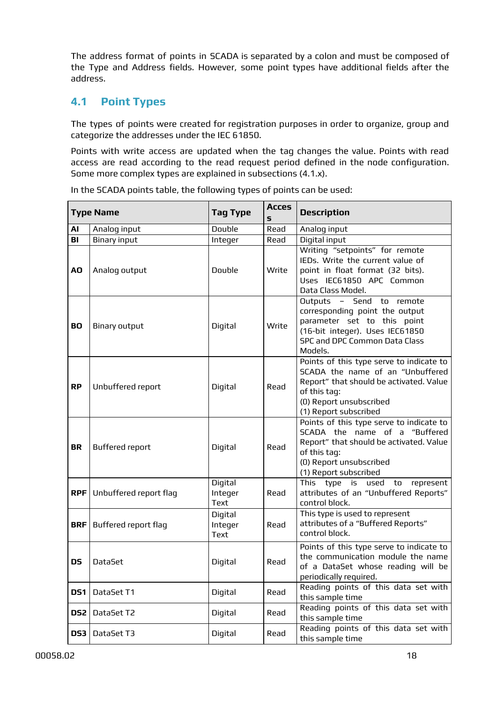The address format of points in SCADA is separated by a colon and must be composed of the Type and Address fields. However, some point types have additional fields after the address.

#### <span id="page-17-0"></span>**4.1 Point Types**

The types of points were created for registration purposes in order to organize, group and categorize the addresses under the IEC 61850.

Points with write access are updated when the tag changes the value. Points with read access are read according to the read request period defined in the node configuration. Some more complex types are explained in subsections (4.1.x).

|                 | <b>Type Name</b>       | <b>Tag Type</b>            | <b>Acces</b><br>s | <b>Description</b>                                                                                                                                                                          |
|-----------------|------------------------|----------------------------|-------------------|---------------------------------------------------------------------------------------------------------------------------------------------------------------------------------------------|
| AI              | Analog input           | Double                     | Read              | Analog input                                                                                                                                                                                |
| B <sub>l</sub>  | <b>Binary input</b>    | <b>Integer</b>             | Read              | Digital input                                                                                                                                                                               |
| AO              | Analog output          | Double                     | Write             | Writing "setpoints" for remote<br>IEDs. Write the current value of<br>point in float format (32 bits).<br>Uses IEC61850 APC Common<br>Data Class Model.                                     |
| <b>BO</b>       | <b>Binary output</b>   | Digital                    | Write             | Outputs - Send to remote<br>corresponding point the output<br>parameter set to this point<br>(16-bit integer). Uses IEC61850<br><b>SPC and DPC Common Data Class</b><br>Models.             |
| <b>RP</b>       | Unbuffered report      | Digital                    | Read              | Points of this type serve to indicate to<br>SCADA the name of an "Unbuffered<br>Report" that should be activated. Value<br>of this tag:<br>(0) Report unsubscribed<br>(1) Report subscribed |
| <b>BR</b>       | <b>Buffered report</b> | Digital                    | Read              | Points of this type serve to indicate to<br>SCADA the name of a "Buffered<br>Report" that should be activated. Value<br>of this tag:<br>(0) Report unsubscribed<br>(1) Report subscribed    |
| <b>RPF</b>      | Unbuffered report flag | Digital<br>Integer<br>Text | Read              | This<br>type<br>is<br>used to<br>represent<br>attributes of an "Unbuffered Reports"<br>control block.                                                                                       |
| <b>BRF</b>      | Buffered report flag   | Digital<br>Integer<br>Text | Read              | This type is used to represent<br>attributes of a "Buffered Reports"<br>control block.                                                                                                      |
| <b>DS</b>       | <b>DataSet</b>         | Digital                    | Read              | Points of this type serve to indicate to<br>the communication module the name<br>of a DataSet whose reading will be<br>periodically required.                                               |
| DS <sub>1</sub> | DataSet T1             | Digital                    | Read              | Reading points of this data set with<br>this sample time                                                                                                                                    |
| DS <sub>2</sub> | DataSet T2             | Digital                    | Read              | Reading points of this data set with<br>this sample time                                                                                                                                    |
| DS <sub>3</sub> | DataSet T3             | Digital                    | Read              | Reading points of this data set with<br>this sample time                                                                                                                                    |

In the SCADA points table, the following types of points can be used: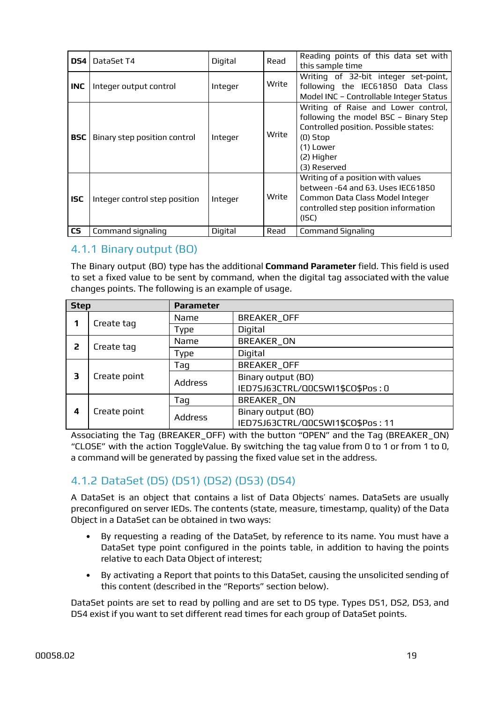| DS4        | DataSet T4                    | Digital | Read  | Reading points of this data set with<br>this sample time                                                                                                                       |
|------------|-------------------------------|---------|-------|--------------------------------------------------------------------------------------------------------------------------------------------------------------------------------|
| <b>INC</b> | Integer output control        | Integer | Write | Writing of 32-bit integer set-point,<br>following the IEC61850 Data Class<br>Model INC - Controllable Integer Status                                                           |
| <b>BSC</b> | Binary step position control  | Integer | Write | Writing of Raise and Lower control,<br>following the model BSC - Binary Step<br>Controlled position. Possible states:<br>$(0)$ Stop<br>(1) Lower<br>(2) Higher<br>(3) Reserved |
| <b>ISC</b> | Integer control step position | Integer | Write | Writing of a position with values<br>between -64 and 63. Uses IEC61850<br>Common Data Class Model Integer<br>controlled step position information<br>(ISC)                     |
| <b>CS</b>  | Command signaling             | Digital | Read  | <b>Command Signaling</b>                                                                                                                                                       |

#### <span id="page-18-0"></span>4.1.1 Binary output (BO)

The Binary output (BO) type has the additional **Command Parameter** field. This field is used to set a fixed value to be sent by command, when the digital tag associated with the value changes points. The following is an example of usage.

| <b>Step</b> |              | <b>Parameter</b> |                                   |
|-------------|--------------|------------------|-----------------------------------|
|             | Create tag   | Name             | <b>BREAKER_OFF</b>                |
|             |              | <b>Type</b>      | Digital                           |
| 2           | Create tag   | Name             | BREAKER_ON                        |
|             |              | <b>Type</b>      | Digital                           |
|             |              | Taq              | <b>BREAKER OFF</b>                |
| 3           | Create point | <b>Address</b>   | Binary output (BO)                |
|             |              |                  | IED7SJ63CTRL/Q0CSWI1\$CO\$Pos: 0  |
|             |              | Taq              | <b>BREAKER ON</b>                 |
| 4           | Create point | <b>Address</b>   | Binary output (BO)                |
|             |              |                  | IED7SJ63CTRL/Q0CSWI1\$CO\$Pos: 11 |

Associating the Tag (BREAKER\_OFF) with the button "OPEN" and the Tag (BREAKER\_ON) "CLOSE" with the action ToggleValue. By switching the tag value from 0 to 1 or from 1 to 0, a command will be generated by passing the fixed value set in the address.

## <span id="page-18-1"></span>4.1.2 DataSet (DS) (DS1) (DS2) (DS3) (DS4)

A DataSet is an object that contains a list of Data Objects' names. DataSets are usually preconfigured on server IEDs. The contents (state, measure, timestamp, quality) of the Data Object in a DataSet can be obtained in two ways:

- By requesting a reading of the DataSet, by reference to its name. You must have a DataSet type point configured in the points table, in addition to having the points relative to each Data Object of interest;
- By activating a Report that points to this DataSet, causing the unsolicited sending of this content (described in the "Reports" section below).

DataSet points are set to read by polling and are set to DS type. Types DS1, DS2, DS3, and DS4 exist if you want to set different read times for each group of DataSet points.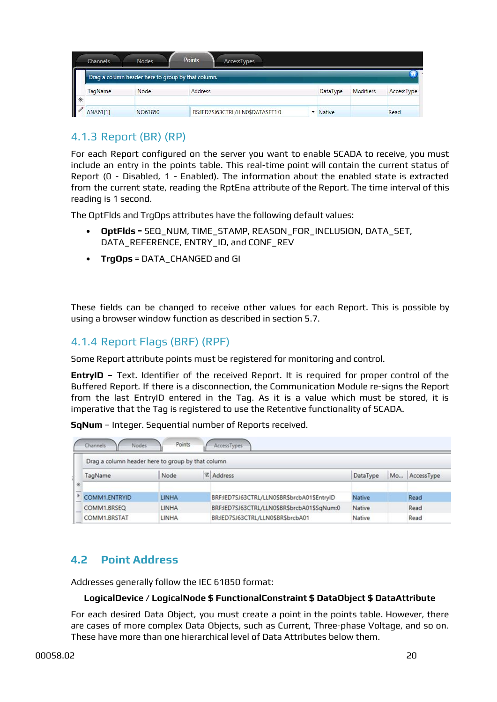|                                                                                                                               | Channels.      | Nodes.                                             | Points<br>AccessTypes            |          |           |                   |
|-------------------------------------------------------------------------------------------------------------------------------|----------------|----------------------------------------------------|----------------------------------|----------|-----------|-------------------|
|                                                                                                                               |                | Drag a column header here to group by that column. |                                  |          |           |                   |
|                                                                                                                               | <b>TagName</b> | Node                                               | Address                          | DataType | Modifiers | <b>AccessType</b> |
| $\begin{array}{c c c c} \hline \text{ } & \text{ } & \text{ } \\ \hline \text{ } & \text{ } & \text{ } \\ \hline \end{array}$ | ANA61[1]       | NO61850                                            | DS:IED7SJ63CTRL/LLN0\$DATASET1:0 | v Native |           | Read              |

## <span id="page-19-0"></span>4.1.3 Report (BR) (RP)

For each Report configured on the server you want to enable SCADA to receive, you must include an entry in the points table. This real-time point will contain the current status of Report (0 - Disabled, 1 - Enabled). The information about the enabled state is extracted from the current state, reading the RptEna attribute of the Report. The time interval of this reading is 1 second.

The OptFlds and TrgOps attributes have the following default values:

- **OptFlds** = SEQ\_NUM, TIME\_STAMP, REASON\_FOR\_INCLUSION, DATA\_SET, DATA\_REFERENCE, ENTRY\_ID, and CONF\_REV
- **TrgOps** = DATA\_CHANGED and GI

These fields can be changed to receive other values for each Report. This is possible by using a browser window function as described in section 5.7.

#### <span id="page-19-1"></span>4.1.4 Report Flags (BRF) (RPF)

Some Report attribute points must be registered for monitoring and control.

**EntryID –** Text. Identifier of the received Report. It is required for proper control of the Buffered Report. If there is a disconnection, the Communication Module re-signs the Report from the last EntryID entered in the Tag. As it is a value which must be stored, it is imperative that the Tag is registered to use the Retentive functionality of SCADA.

**SqNum** – Integer. Sequential number of Reports received.

| Drag a column header here to group by that column |       |                                             |          |    |            |
|---------------------------------------------------|-------|---------------------------------------------|----------|----|------------|
| TagName                                           | Node  | <b>Z</b> Address                            | DataType | Mo | AccessType |
| COMM1.ENTRYID                                     | LINHA | BRF:IED7SJ63CTRL/LLN0SBRSbrcbA01SEntryID    | Native   |    | Read       |
| COMM1.BRSEQ                                       | LINHA | BRF:IED7SJ63CTRL/LLN0\$BR\$brcbA01\$SqNum:0 | Native   |    | Read       |
| COMM1, BRSTAT                                     | LINHA | BR:IED7SJ63CTRL/LLN0\$BR\$brcbA01           | Native   |    | Read       |

#### <span id="page-19-2"></span>**4.2 Point Address**

Addresses generally follow the IEC 61850 format:

#### **LogicalDevice / LogicalNode \$ FunctionalConstraint \$ DataObject \$ DataAttribute**

For each desired Data Object, you must create a point in the points table. However, there are cases of more complex Data Objects, such as Current, Three-phase Voltage, and so on. These have more than one hierarchical level of Data Attributes below them.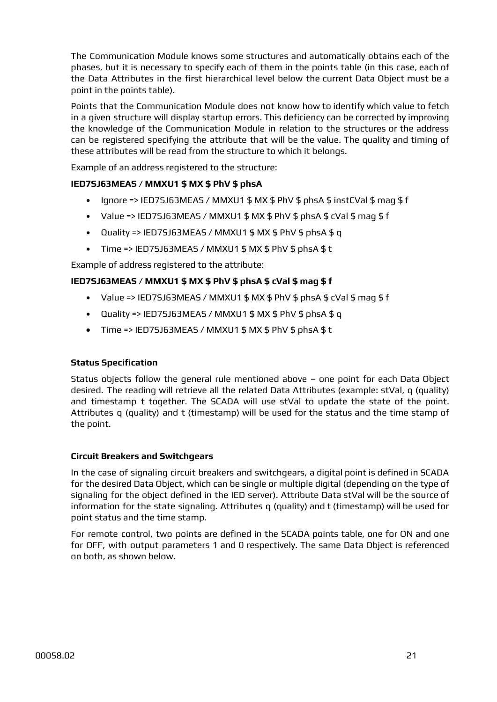The Communication Module knows some structures and automatically obtains each of the phases, but it is necessary to specify each of them in the points table (in this case, each of the Data Attributes in the first hierarchical level below the current Data Object must be a point in the points table).

Points that the Communication Module does not know how to identify which value to fetch in a given structure will display startup errors. This deficiency can be corrected by improving the knowledge of the Communication Module in relation to the structures or the address can be registered specifying the attribute that will be the value. The quality and timing of these attributes will be read from the structure to which it belongs.

Example of an address registered to the structure:

#### **IED7SJ63MEAS / MMXU1 \$ MX \$ PhV \$ phsA**

- Ignore => IED7SJ63MEAS / MMXU1 \$ MX \$ PhV \$ phsA \$ instCVal \$ mag \$ f
- Value => IED7SJ63MEAS / MMXU1 \$ MX \$ PhV \$ phsA \$ cVal \$ mag \$ f
- Quality => IED7SJ63MEAS / MMXU1  $$$  MX  $$$  PhV  $$$  phsA  $$$  q
- Time => IED7SJ63MEAS / MMXU1 \$ MX \$ PhV \$ phsA \$ t

Example of address registered to the attribute:

#### **IED7SJ63MEAS / MMXU1 \$ MX \$ PhV \$ phsA \$ cVal \$ mag \$ f**

- Value => IED7SJ63MEAS / MMXU1  $$$  MX  $$$  PhV  $$$  phsA  $$$  cVal  $$$  maq  $$$  f
- Quality => IED7SJ63MEAS / MMXU1 \$ MX \$ PhV \$ phsA \$ q
- **•** Time => IED7SJ63MEAS / MMXU1 \$ MX \$ PhV \$ phsA \$ t

#### **Status Specification**

Status objects follow the general rule mentioned above – one point for each Data Object desired. The reading will retrieve all the related Data Attributes (example: stVal, q (quality) and timestamp t together. The SCADA will use stVal to update the state of the point. Attributes q (quality) and t (timestamp) will be used for the status and the time stamp of the point.

#### **Circuit Breakers and Switchgears**

In the case of signaling circuit breakers and switchgears, a digital point is defined in SCADA for the desired Data Object, which can be single or multiple digital (depending on the type of signaling for the object defined in the IED server). Attribute Data stVal will be the source of information for the state signaling. Attributes q (quality) and t (timestamp) will be used for point status and the time stamp.

For remote control, two points are defined in the SCADA points table, one for ON and one for OFF, with output parameters 1 and 0 respectively. The same Data Object is referenced on both, as shown below.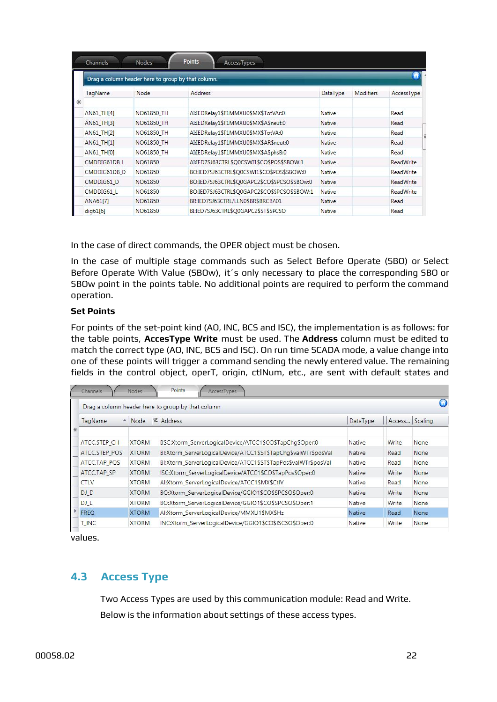|                   | Drag a column header here to group by that column. |                                             |               |                  |                  |
|-------------------|----------------------------------------------------|---------------------------------------------|---------------|------------------|------------------|
| TagName           | Node                                               | Address                                     | DataType      | <b>Modifiers</b> | AccessType       |
| ⋇                 |                                                    |                                             |               |                  |                  |
| AN61 TH[4]        | NO61850 TH                                         | AI:IEDRelay1\$T1MMXU0\$MX\$TotVAr:0         | <b>Native</b> |                  | Read             |
| AN61 TH[3]        | NO61850 TH                                         | AI:IEDRelay1\$T1MMXU0\$MX\$A\$neut:0        | Native        |                  | Read             |
| AN61 TH[2]        | NO61850 TH                                         | AI:IEDRelay1\$T1MMXU0\$MX\$TotVA:0          | Native        |                  | Read             |
| <b>AN61 TH[1]</b> | NO61850 TH                                         | AI:IEDRelay1\$T1MMXU0\$MX\$AR\$neut:0       | Native        |                  | Read             |
| <b>AN61 TH[0]</b> | NO61850 TH                                         | AI:IEDRelay1\$T1MMXU0\$MX\$A\$phsB:0        | <b>Native</b> |                  | Read             |
| CMDDIG61DB L      | NO61850                                            | AI:IED7SJ63CTRL\$Q0CSWI1\$CO\$POS\$SBOW:1   | <b>Native</b> |                  | <b>ReadWrite</b> |
| CMDDIG61DB D      | NO61850                                            | BO:IED7SJ63CTRL\$Q0CSWI1\$CO\$POS\$SBOW:0   | Native        |                  | <b>ReadWrite</b> |
| CMDDIG61 D        | NO61850                                            | BO:IED7SJ63CTRL\$Q0GAPC2\$CO\$SPCSO\$SBOw:0 | <b>Native</b> |                  | <b>ReadWrite</b> |
| CMDDIG61 L        | NO61850                                            | BO:IED7SJ63CTRL\$Q0GAPC2\$CO\$SPCSO\$SBOW:1 | <b>Native</b> |                  | <b>ReadWrite</b> |
| ANA61[7]          | NO61850                                            | BR:IED7SJ63CTRL/LLN0\$BR\$BRCBA01           | <b>Native</b> |                  | Read             |
| dig61[6]          | NO61850                                            | BI:IED7SJ63CTRL\$O0GAPC2\$ST\$SPCSO         | Native        |                  | Read             |

In the case of direct commands, the OPER object must be chosen.

In the case of multiple stage commands such as Select Before Operate (SBO) or Select Before Operate With Value (SBOw), it´s only necessary to place the corresponding SBO or SBOw point in the points table. No additional points are required to perform the command operation.

#### **Set Points**

For points of the set-point kind (AO, INC, BCS and ISC), the implementation is as follows: for the table points, **AccesType Write** must be used. The **Address** column must be edited to match the correct type (AO, INC, BCS and ISC). On run time SCADA mode, a value change into one of these points will trigger a command sending the newly entered value. The remaining fields in the control object, operT, origin, ctlNum, etc., are sent with default states and

|               |              | Drag a column header here to group by that column              |               |                |             |
|---------------|--------------|----------------------------------------------------------------|---------------|----------------|-------------|
| TagName       | - Node       | <b>Z</b> Address                                               | DataType      | Access Scaling |             |
|               |              |                                                                |               |                |             |
| ATCC.STEP CH  | <b>XTORM</b> | BSC:Xtorm_ServerLogicalDevice/ATCC1\$CO\$TapChg\$Oper:0        | Native        | Write          | None        |
| ATCC.STEP POS | <b>XTORM</b> | Bl:Xtorm ServerLogicalDevice/ATCC1\$ST\$TapChg\$valWTr\$posVal | Native        | Read           | None        |
| ATCC.TAP POS  | <b>XTORM</b> | Bl:Xtorm_ServerLogicalDevice/ATCC1\$ST\$TapPos\$valWTr\$posVal | Native        | Read           | <b>None</b> |
| ATCC.TAP SP   | <b>XTORM</b> | ISC:Xtorm ServerLogicalDevice/ATCC1\$CO\$TapPos\$Oper:0        | Native        | <b>Write</b>   | None        |
| <b>CTLV</b>   | <b>XTORM</b> | Al:Xtorm_ServerLogicalDevice/ATCC1\$MX\$CtIV                   | Native        | Read           | None        |
| DJ_D          | <b>XTORM</b> | BO:Xtorm_ServerLogicalDevice/GGIO1\$CO\$SPCSO\$Oper:0          | Native        | Write          | None        |
| DJ_L          | <b>XTORM</b> | BO:Xtorm_ServerLogicalDevice/GGIO1\$CO\$SPCSO\$Oper:1          | Native        | <b>Write</b>   | None        |
| <b>FREQ</b>   | <b>XTORM</b> | Al:Xtorm_ServerLogicalDevice/MMXU1\$MX\$Hz                     | <b>Native</b> | Read           | None        |
| <b>T_INC</b>  | <b>XTORM</b> | INC:Xtorm_ServerLogicalDevice/GGIO1\$CO\$ISCSO\$Oper:0         | Native        | Write          | None        |

values.

#### <span id="page-21-0"></span>**4.3 Access Type**

Two Access Types are used by this communication module: Read and Write. Below is the information about settings of these access types.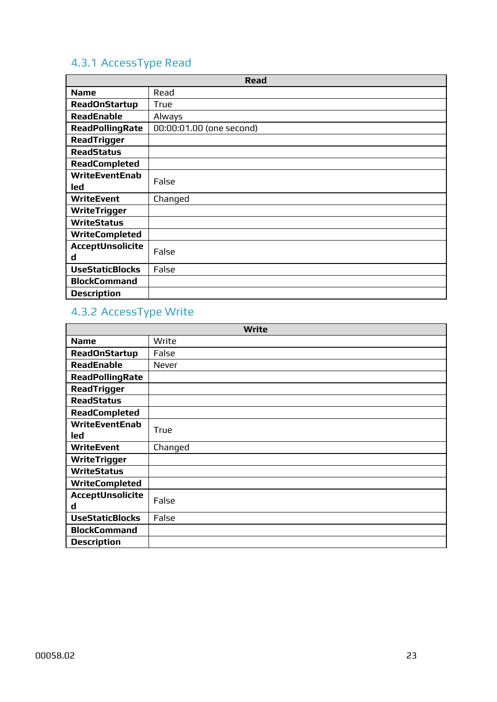# <span id="page-22-0"></span>4.3.1 AccessType Read

|                         | <b>Read</b>              |  |  |  |
|-------------------------|--------------------------|--|--|--|
| <b>Name</b>             | Read                     |  |  |  |
| <b>ReadOnStartup</b>    | True                     |  |  |  |
| <b>ReadEnable</b>       | Always                   |  |  |  |
| <b>ReadPollingRate</b>  | 00:00:01.00 (one second) |  |  |  |
| <b>ReadTrigger</b>      |                          |  |  |  |
| <b>ReadStatus</b>       |                          |  |  |  |
| <b>ReadCompleted</b>    |                          |  |  |  |
| <b>WriteEventEnab</b>   | False                    |  |  |  |
| led                     |                          |  |  |  |
| <b>WriteEvent</b>       | Changed                  |  |  |  |
| <b>WriteTrigger</b>     |                          |  |  |  |
| <b>WriteStatus</b>      |                          |  |  |  |
| <b>WriteCompleted</b>   |                          |  |  |  |
| <b>AcceptUnsolicite</b> | False                    |  |  |  |
| d                       |                          |  |  |  |
| <b>UseStaticBlocks</b>  | False                    |  |  |  |
| <b>BlockCommand</b>     |                          |  |  |  |
| <b>Description</b>      |                          |  |  |  |

# <span id="page-22-1"></span>4.3.2 AccessType Write

| Write                        |              |  |  |  |
|------------------------------|--------------|--|--|--|
| <b>Name</b>                  | Write        |  |  |  |
| <b>ReadOnStartup</b>         | False        |  |  |  |
| <b>ReadEnable</b>            | <b>Never</b> |  |  |  |
| <b>ReadPollingRate</b>       |              |  |  |  |
| <b>ReadTrigger</b>           |              |  |  |  |
| <b>ReadStatus</b>            |              |  |  |  |
| <b>ReadCompleted</b>         |              |  |  |  |
| <b>WriteEventEnab</b><br>led | True         |  |  |  |
| <b>WriteEvent</b>            | Changed      |  |  |  |
| <b>WriteTrigger</b>          |              |  |  |  |
| <b>WriteStatus</b>           |              |  |  |  |
| <b>WriteCompleted</b>        |              |  |  |  |
| AcceptUnsolicite<br>d        | False        |  |  |  |
| <b>UseStaticBlocks</b>       | False        |  |  |  |
| <b>BlockCommand</b>          |              |  |  |  |
| <b>Description</b>           |              |  |  |  |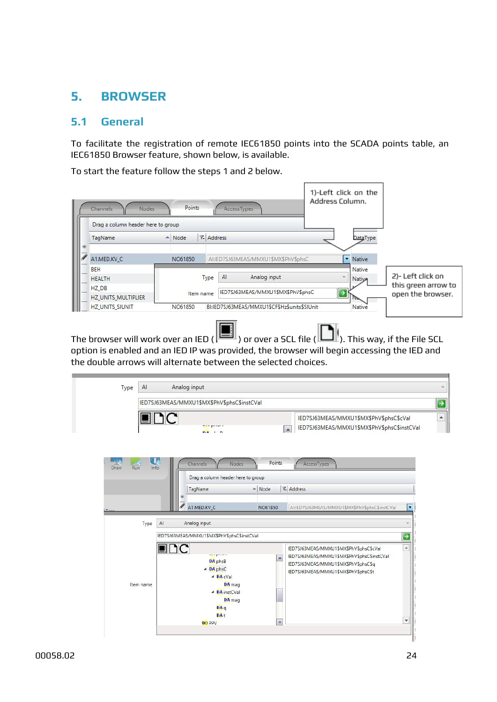## <span id="page-23-0"></span>**5. BROWSER**

#### <span id="page-23-1"></span>**5.1 General**

To facilitate the registration of remote IEC61850 points into the SCADA points table, an IEC61850 Browser feature, shown below, is available.

To start the feature follow the steps 1 and 2 below.

|   | Nodes<br>Channels<br>Drag a column header here to group | Points           |                   | AccessTypes                                  | 1)-Left click on the<br>Address Column. |                     |
|---|---------------------------------------------------------|------------------|-------------------|----------------------------------------------|-----------------------------------------|---------------------|
| I | TagName                                                 | $\triangle$ Node | <b>7.</b> Address |                                              | <b>DataType</b>                         |                     |
|   | A1.MED.KV C                                             | NO61850          |                   | AI:IED7SJ63MEAS/MMXU1\$MX\$PhV\$phsC         | • Native                                |                     |
|   | <b>BEH</b><br><b>HEALTH</b>                             |                  | AI<br>Type        | Analog input                                 | Native<br>b.<br><b>Native</b>           | 2)- Left click on   |
|   | HZ DB                                                   |                  |                   | IED7SJ63MEAS/MMXU1\$MX\$PhV\$phsC            |                                         | this green arrow to |
|   | <b>HZ_UNITS_MULTIPLIER</b>                              | Item name        |                   |                                              |                                         | open the browser.   |
|   | <b>HZ UNITS SIUNIT</b>                                  | NO61850          |                   | BI:IED7SJ63MEAS/MMXU1\$CF\$Hz\$units\$SIUnit | Native                                  |                     |

The browser will work over an IED ( $\boxed{\blacksquare}$  ) or over a SCL file ( $\blacksquare$ ). This way, if the File SCL option is enabled and an IED IP was provided, the browser will begin accessing the IED and the double arrows will alternate between the selected choices.

| A<br>Type                                    | Analog input                                                                                                                                                                                                                                                                                                                         |
|----------------------------------------------|--------------------------------------------------------------------------------------------------------------------------------------------------------------------------------------------------------------------------------------------------------------------------------------------------------------------------------------|
|                                              | IED7SJ63MEAS/MMXU1\$MX\$PhV\$phsC\$instCVal                                                                                                                                                                                                                                                                                          |
| LING                                         | IED7SJ63MEAS/MMXU1\$MX\$PhV\$phsC\$cVal<br><b>Band</b><br>IED7SJ63MEAS/MMXU1\$MX\$PhV\$phsC\$instCVal<br>$\blacktriangle$<br>n.e.<br>n.                                                                                                                                                                                              |
| $\mathbf{U}_\epsilon$<br>Draw<br>Info<br>Run | Points<br>AccessTypes<br>Channels<br><b>Nodes</b><br>Drag a column header here to group                                                                                                                                                                                                                                              |
|                                              | <b>7.</b> Address<br>- Node<br>TagName<br>⋇                                                                                                                                                                                                                                                                                          |
|                                              | A1.MED.KV_C<br>NO61850<br>AI:IED7SJ63MEAS/MMXU1\$MX\$PhV\$phsC\$instCVal<br>۰                                                                                                                                                                                                                                                        |
| Type                                         | $\mathsf{Al}$<br>Analog input<br>$\omega$                                                                                                                                                                                                                                                                                            |
|                                              | IED7SJ63MEAS/MMXU1\$MX\$PhV\$phsC\$instCVal<br>$\rightarrow$                                                                                                                                                                                                                                                                         |
| Item name                                    | $\overline{\phantom{a}}$<br>EDC<br>IED7SJ63MEAS/MMXU1\$MX\$PhV\$phsC\$cVal<br><del>minis</del> per care a<br>IED7SJ63MEAS/MMXU1\$MX\$PhV\$phsC\$instCVal<br>$\blacktriangle$<br>DA phsB<br>IED7SJ63MEAS/MMXU1\$MX\$PhV\$phsC\$q<br>$\triangleq$ DA phsC<br>IED7SJ63MEAS/MMXU1\$MX\$PhV\$phsC\$t<br>$\triangleleft$ DA cVal<br>DA mag |
|                                              | ▲ DA instCVal<br>DA mag<br>DAq<br>DA <sub>t</sub>                                                                                                                                                                                                                                                                                    |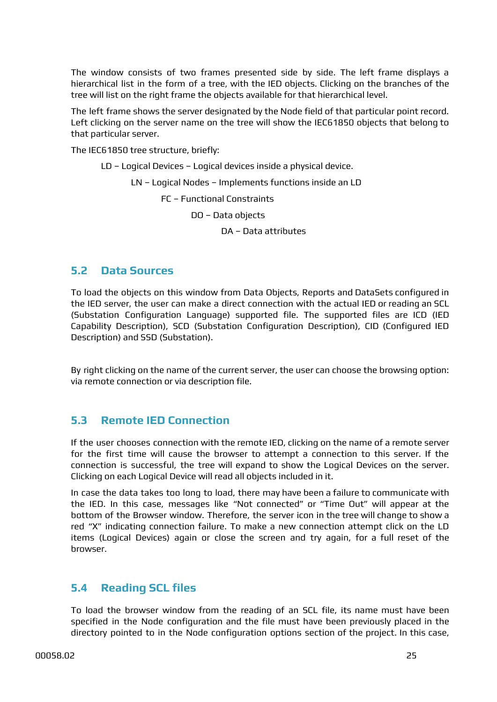The window consists of two frames presented side by side. The left frame displays a hierarchical list in the form of a tree, with the IED objects. Clicking on the branches of the tree will list on the right frame the objects available for that hierarchical level.

The left frame shows the server designated by the Node field of that particular point record. Left clicking on the server name on the tree will show the IEC61850 objects that belong to that particular server.

The IEC61850 tree structure, briefly:

LD – Logical Devices – Logical devices inside a physical device. LN – Logical Nodes – Implements functions inside an LD FC – Functional Constraints DO – Data objects DA – Data attributes

#### <span id="page-24-0"></span>**5.2 Data Sources**

To load the objects on this window from Data Objects, Reports and DataSets configured in the IED server, the user can make a direct connection with the actual IED or reading an SCL (Substation Configuration Language) supported file. The supported files are ICD (IED Capability Description), SCD (Substation Configuration Description), CID (Configured IED Description) and SSD (Substation).

By right clicking on the name of the current server, the user can choose the browsing option: via remote connection or via description file.

#### <span id="page-24-1"></span>**5.3 Remote IED Connection**

If the user chooses connection with the remote IED, clicking on the name of a remote server for the first time will cause the browser to attempt a connection to this server. If the connection is successful, the tree will expand to show the Logical Devices on the server. Clicking on each Logical Device will read all objects included in it.

In case the data takes too long to load, there may have been a failure to communicate with the IED. In this case, messages like "Not connected" or "Time Out" will appear at the bottom of the Browser window. Therefore, the server icon in the tree will change to show a red "X" indicating connection failure. To make a new connection attempt click on the LD items (Logical Devices) again or close the screen and try again, for a full reset of the browser.

#### <span id="page-24-2"></span>**5.4 Reading SCL files**

To load the browser window from the reading of an SCL file, its name must have been specified in the Node configuration and the file must have been previously placed in the directory pointed to in the Node configuration options section of the project. In this case,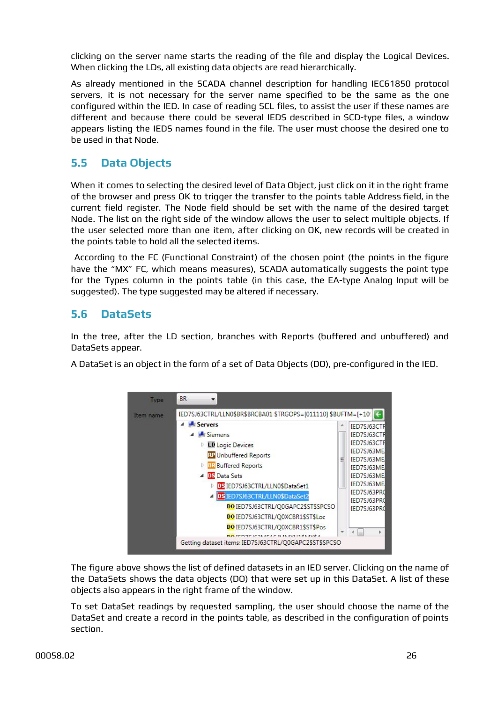clicking on the server name starts the reading of the file and display the Logical Devices. When clicking the LDs, all existing data objects are read hierarchically.

As already mentioned in the SCADA channel description for handling IEC61850 protocol servers, it is not necessary for the server name specified to be the same as the one configured within the IED. In case of reading SCL files, to assist the user if these names are different and because there could be several IEDS described in SCD-type files, a window appears listing the IEDS names found in the file. The user must choose the desired one to be used in that Node.

## <span id="page-25-0"></span>**5.5 Data Objects**

When it comes to selecting the desired level of Data Object, just click on it in the right frame of the browser and press OK to trigger the transfer to the points table Address field, in the current field register. The Node field should be set with the name of the desired target Node. The list on the right side of the window allows the user to select multiple objects. If the user selected more than one item, after clicking on OK, new records will be created in the points table to hold all the selected items.

According to the FC (Functional Constraint) of the chosen point (the points in the figure have the "MX" FC, which means measures), SCADA automatically suggests the point type for the Types column in the points table (in this case, the EA-type Analog Input will be suggested). The type suggested may be altered if necessary.

## <span id="page-25-1"></span>**5.6 DataSets**

In the tree, after the LD section, branches with Reports (buffered and unbuffered) and DataSets appear.

A DataSet is an object in the form of a set of Data Objects (DO), pre-configured in the IED.



The figure above shows the list of defined datasets in an IED server. Clicking on the name of the DataSets shows the data objects (DO) that were set up in this DataSet. A list of these objects also appears in the right frame of the window.

To set DataSet readings by requested sampling, the user should choose the name of the DataSet and create a record in the points table, as described in the configuration of points section.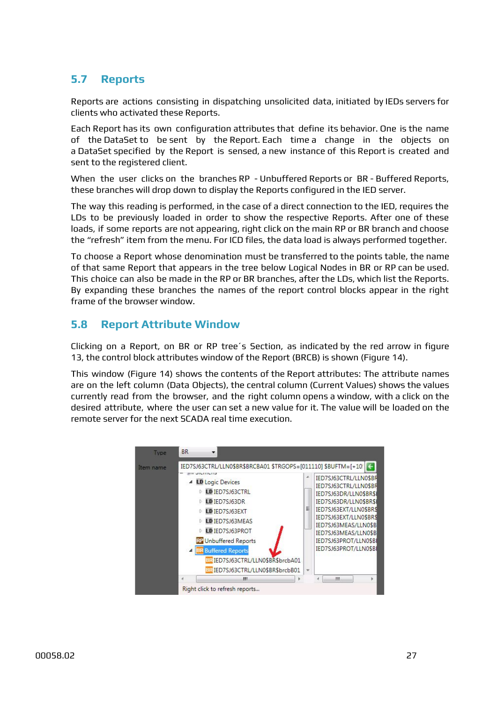## <span id="page-26-0"></span>**5.7 Reports**

Reports are actions consisting in dispatching unsolicited data, initiated by IEDs servers for clients who activated these Reports.

Each Report has its own configuration attributes that define its behavior. One is the name of the DataSet to be sent by the Report. Each time a change in the objects on a DataSet specified by the Report is sensed, a new instance of this Report is created and sent to the registered client.

When the user clicks on the branches RP - Unbuffered Reports or BR - Buffered Reports, these branches will drop down to display the Reports configured in the IED server.

The way this reading is performed, in the case of a direct connection to the IED, requires the LDs to be previously loaded in order to show the respective Reports. After one of these loads, if some reports are not appearing, right click on the main RP or BR branch and choose the "refresh" item from the menu. For ICD files, the data load is always performed together.

To choose a Report whose denomination must be transferred to the points table, the name of that same Report that appears in the tree below Logical Nodes in BR or RP can be used. This choice can also be made in the RP or BR branches, after the LDs, which list the Reports. By expanding these branches the names of the report control blocks appear in the right frame of the browser window.

#### <span id="page-26-1"></span>**5.8 Report Attribute Window**

Clicking on a Report, on BR or RP tree´s Section, as indicated by the red arrow in figure 13, the control block attributes window of the Report (BRCB) is shown (Figure 14).

This window (Figure 14) shows the contents of the Report attributes: The attribute names are on the left column (Data Objects), the central column (Current Values) shows the values currently read from the browser, and the right column opens a window, with a click on the desired attribute, where the user can set a new value for it. The value will be loaded on the remote server for the next SCADA real time execution.

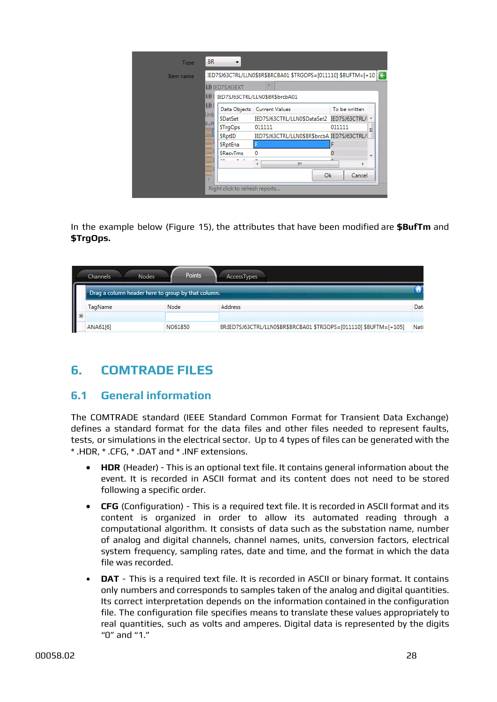| Item name |                    | IED7SJ63CTRL/LLN0\$BR\$BRCBA01 \$TRGOPS=[011110] \$BUFTM=[+10] < |        |               |
|-----------|--------------------|------------------------------------------------------------------|--------|---------------|
|           | LD IED7SJ63EXT     |                                                                  |        |               |
|           |                    | LD1 IED7SJ63CTRL/LLN0\$BR\$brcbA01                               |        |               |
|           | LD<br>Data Objects | Current Values                                                   |        | To be written |
|           | Unb<br>\$DatSet    | IED7SJ63CTRL/LLN0\$DataSet2 IED7SJ63CTRL/I                       |        |               |
|           | Buff<br>\$TrgOps   | 011111                                                           | 011111 | Ξ             |
|           | \$RptID            | IED7SJ63CTRL/LLN0\$BR\$brcbA IED7SJ63CTRL/I                      |        |               |
|           | \$RptEna           |                                                                  | F      |               |
|           | <b>\$ResvTms</b>   | 0                                                                | 0      |               |
|           |                    | m<br>٠                                                           | t.     |               |
|           | ×                  |                                                                  | Ok     | Cancel        |

In the example below (Figure 15), the attributes that have been modified are **\$BufTm** and **\$TrgOps.**

| <b>Channels</b>                                    | <b>Nodes</b> | <b>Points</b> | AccessTypes                                                        |      |
|----------------------------------------------------|--------------|---------------|--------------------------------------------------------------------|------|
| Drag a column header here to group by that column. |              |               |                                                                    |      |
| TagName                                            | Node         |               | Address                                                            | Data |
| ANA61[6]                                           |              | NO61850       | BR:IED7SJ63CTRL/LLN0\$BR\$BRCBA01 \$TRGOPS=[011110] \$BUFTM=[+105] | Nati |

# <span id="page-27-0"></span>**6. COMTRADE FILES**

#### <span id="page-27-1"></span>**6.1 General information**

The COMTRADE standard (IEEE Standard Common Format for Transient Data Exchange) defines a standard format for the data files and other files needed to represent faults, tests, or simulations in the electrical sector. Up to 4 types of files can be generated with the \* .HDR, \* .CFG, \* .DAT and \* .INF extensions.

- **• HDR** (Header) This is an optional text file. It contains general information about the event. It is recorded in ASCII format and its content does not need to be stored following a specific order.
- **• CFG** (Configuration) This is a required text file. It is recorded in ASCII format and its content is organized in order to allow its automated reading through a computational algorithm. It consists of data such as the substation name, number of analog and digital channels, channel names, units, conversion factors, electrical system frequency, sampling rates, date and time, and the format in which the data file was recorded.
- **DAT** This is a required text file. It is recorded in ASCII or binary format. It contains only numbers and corresponds to samples taken of the analog and digital quantities. Its correct interpretation depends on the information contained in the configuration file. The configuration file specifies means to translate these values appropriately to real quantities, such as volts and amperes. Digital data is represented by the digits "0" and "1."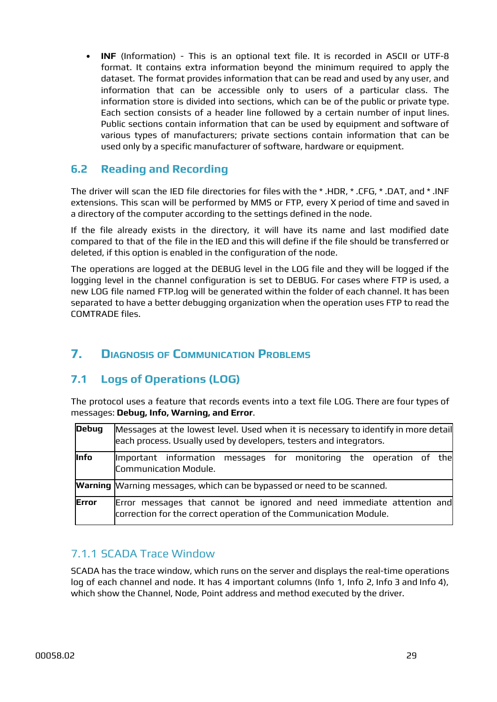• **INF** (Information) - This is an optional text file. It is recorded in ASCII or UTF-8 format. It contains extra information beyond the minimum required to apply the dataset. The format provides information that can be read and used by any user, and information that can be accessible only to users of a particular class. The information store is divided into sections, which can be of the public or private type. Each section consists of a header line followed by a certain number of input lines. Public sections contain information that can be used by equipment and software of various types of manufacturers; private sections contain information that can be used only by a specific manufacturer of software, hardware or equipment.

#### <span id="page-28-0"></span>**6.2 Reading and Recording**

The driver will scan the IED file directories for files with the \* .HDR, \* .CFG, \* .DAT, and \* .INF extensions. This scan will be performed by MMS or FTP, every X period of time and saved in a directory of the computer according to the settings defined in the node.

If the file already exists in the directory, it will have its name and last modified date compared to that of the file in the IED and this will define if the file should be transferred or deleted, if this option is enabled in the configuration of the node.

The operations are logged at the DEBUG level in the LOG file and they will be logged if the logging level in the channel configuration is set to DEBUG. For cases where FTP is used, a new LOG file named FTP.log will be generated within the folder of each channel. It has been separated to have a better debugging organization when the operation uses FTP to read the COMTRADE files.

## <span id="page-28-1"></span>**7. DIAGNOSIS OF COMMUNICATION PROBLEMS**

#### <span id="page-28-2"></span>**7.1 Logs of Operations (LOG)**

The protocol uses a feature that records events into a text file LOG. There are four types of messages: **Debug, Info, Warning, and Error**.

| <b>Debug</b> | Messages at the lowest level. Used when it is necessary to identify in more detail<br>each process. Usually used by developers, testers and integrators. |  |  |  |  |  |  |  |
|--------------|----------------------------------------------------------------------------------------------------------------------------------------------------------|--|--|--|--|--|--|--|
| Info         | Important information messages for monitoring the operation of the<br>Communication Module.                                                              |  |  |  |  |  |  |  |
|              | <b>Warning</b> Warning messages, which can be bypassed or need to be scanned.                                                                            |  |  |  |  |  |  |  |
| <b>Error</b> | Error messages that cannot be ignored and need immediate attention and<br>correction for the correct operation of the Communication Module.              |  |  |  |  |  |  |  |

#### <span id="page-28-3"></span>7.1.1 SCADA Trace Window

SCADA has the trace window, which runs on the server and displays the real-time operations log of each channel and node. It has 4 important columns (Info 1, Info 2, Info 3 and Info 4), which show the Channel, Node, Point address and method executed by the driver.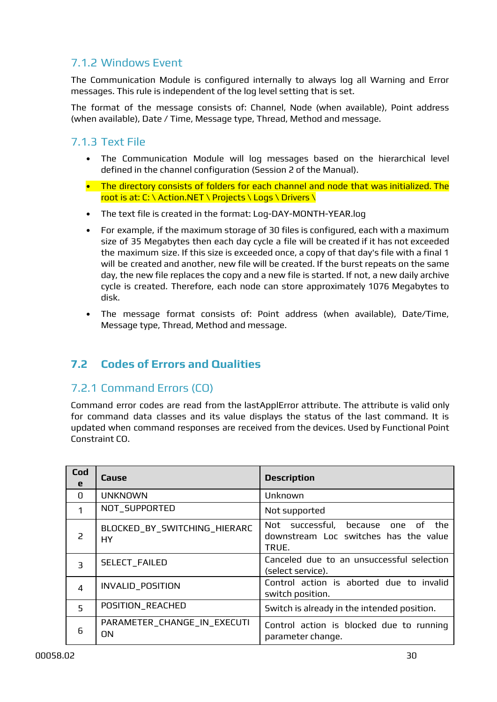#### <span id="page-29-0"></span>7.1.2 Windows Event

The Communication Module is configured internally to always log all Warning and Error messages. This rule is independent of the log level setting that is set.

The format of the message consists of: Channel, Node (when available), Point address (when available), Date / Time, Message type, Thread, Method and message.

#### <span id="page-29-1"></span>7.1.3 Text File

- The Communication Module will log messages based on the hierarchical level defined in the channel configuration (Session 2 of the Manual).
- The directory consists of folders for each channel and node that was initialized. The root is at: C: \ Action.NET \ Projects \ Logs \ Drivers \
- The text file is created in the format: Log-DAY-MONTH-YEAR.log
- For example, if the maximum storage of 30 files is configured, each with a maximum size of 35 Megabytes then each day cycle a file will be created if it has not exceeded the maximum size. If this size is exceeded once, a copy of that day's file with a final 1 will be created and another, new file will be created. If the burst repeats on the same day, the new file replaces the copy and a new file is started. If not, a new daily archive cycle is created. Therefore, each node can store approximately 1076 Megabytes to disk.
- The message format consists of: Point address (when available), Date/Time, Message type, Thread, Method and message.

#### <span id="page-29-2"></span>**7.2 Codes of Errors and Qualities**

#### <span id="page-29-3"></span>7.2.1 Command Errors (CO)

Command error codes are read from the lastApplError attribute. The attribute is valid only for command data classes and its value displays the status of the last command. It is updated when command responses are received from the devices. Used by Functional Point Constraint CO.

| Cod<br>e       | Cause                                     | <b>Description</b>                                                                         |  |  |
|----------------|-------------------------------------------|--------------------------------------------------------------------------------------------|--|--|
| <sup>0</sup>   | <b>UNKNOWN</b>                            | Unknown                                                                                    |  |  |
| 1              | NOT_SUPPORTED                             | Not supported                                                                              |  |  |
| 2              | BLOCKED_BY_SWITCHING_HIERARC<br><b>HY</b> | Not successful, because<br>one of<br>the<br>downstream Loc switches has the value<br>TRUE. |  |  |
| 3              | SELECT_FAILED                             | Canceled due to an unsuccessful selection<br>(select service).                             |  |  |
| $\overline{4}$ | INVALID_POSITION                          | Control action is aborted due to invalid<br>switch position.                               |  |  |
| 5              | POSITION_REACHED                          | Switch is already in the intended position.                                                |  |  |
| 6              | PARAMETER_CHANGE_IN_EXECUTI<br><b>ON</b>  | Control action is blocked due to running<br>parameter change.                              |  |  |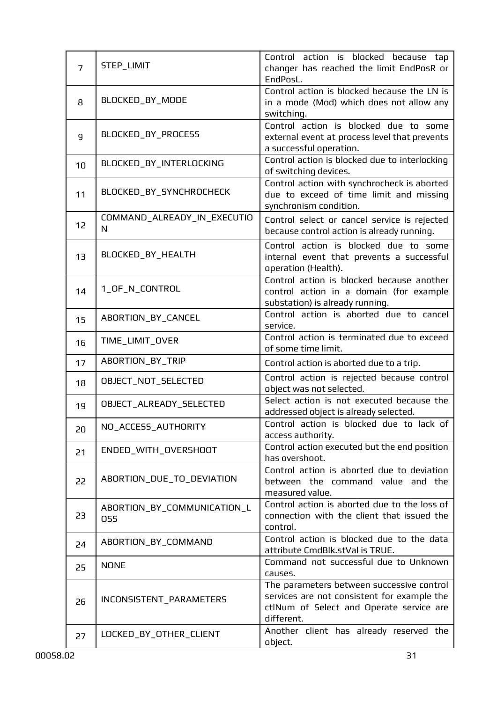| $\overline{7}$ | STEP_LIMIT                         | Control action is blocked because tap<br>changer has reached the limit EndPosR or<br>EndPosL.                                                      |
|----------------|------------------------------------|----------------------------------------------------------------------------------------------------------------------------------------------------|
| 8              | BLOCKED_BY_MODE                    | Control action is blocked because the LN is<br>in a mode (Mod) which does not allow any<br>switching.                                              |
| 9              | BLOCKED_BY_PROCESS                 | Control action is blocked due to some<br>external event at process level that prevents<br>a successful operation.                                  |
| 10             | BLOCKED_BY_INTERLOCKING            | Control action is blocked due to interlocking<br>of switching devices.                                                                             |
| 11             | BLOCKED_BY_SYNCHROCHECK            | Control action with synchrocheck is aborted<br>due to exceed of time limit and missing<br>synchronism condition.                                   |
| 12             | COMMAND_ALREADY_IN_EXECUTIO<br>N   | Control select or cancel service is rejected<br>because control action is already running.                                                         |
| 13             | BLOCKED_BY_HEALTH                  | Control action is blocked due to some<br>internal event that prevents a successful<br>operation (Health).                                          |
| 14             | 1_OF_N_CONTROL                     | Control action is blocked because another<br>control action in a domain (for example<br>substation) is already running.                            |
| 15             | ABORTION_BY_CANCEL                 | Control action is aborted due to cancel<br>service.                                                                                                |
| 16             | TIME_LIMIT_OVER                    | Control action is terminated due to exceed<br>of some time limit.                                                                                  |
| 17             | ABORTION_BY_TRIP                   | Control action is aborted due to a trip.                                                                                                           |
| 18             | OBJECT_NOT_SELECTED                | Control action is rejected because control<br>object was not selected.                                                                             |
| 19             | OBJECT_ALREADY_SELECTED            | Select action is not executed because the<br>addressed object is already selected.                                                                 |
| 20             | NO_ACCESS_AUTHORITY                | Control action is blocked due to lack of<br>access authority.                                                                                      |
| 21             | ENDED_WITH_OVERSHOOT               | Control action executed but the end position<br>has overshoot.                                                                                     |
| 22             | ABORTION_DUE_TO_DEVIATION          | Control action is aborted due to deviation<br>between the command value and the<br>measured value.                                                 |
| 23             | ABORTION_BY_COMMUNICATION_L<br>OSS | Control action is aborted due to the loss of<br>connection with the client that issued the<br>control.                                             |
| 24             | ABORTION_BY_COMMAND                | Control action is blocked due to the data<br>attribute CmdBlk.stVal is TRUE.                                                                       |
| 25             | <b>NONE</b>                        | Command not successful due to Unknown<br>causes.                                                                                                   |
| 26             | INCONSISTENT_PARAMETERS            | The parameters between successive control<br>services are not consistent for example the<br>ctlNum of Select and Operate service are<br>different. |
| 27             | LOCKED_BY_OTHER_CLIENT             | Another client has already reserved the<br>object.                                                                                                 |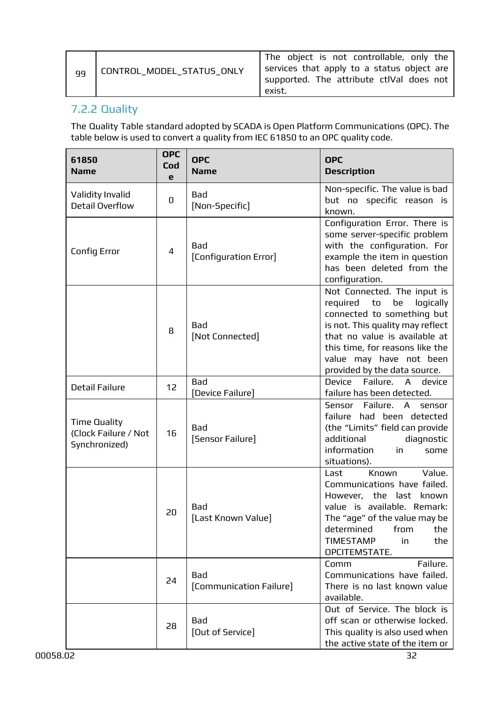| 99 | 'CONTROL_MODEL_STATUS_ONLY | The object is not controllable, only the<br>services that apply to a status object are<br>supported. The attribute ctlVal does not<br>exist. |
|----|----------------------------|----------------------------------------------------------------------------------------------------------------------------------------------|
|----|----------------------------|----------------------------------------------------------------------------------------------------------------------------------------------|

## <span id="page-31-0"></span>7.2.2 Quality

The Quality Table standard adopted by SCADA is Open Platform Communications (OPC). The table below is used to convert a quality from IEC 61850 to an OPC quality code.

| 61850<br><b>Name</b>                                         | <b>OPC</b><br>Cod<br>e | <b>OPC</b><br><b>Name</b>      | <b>OPC</b><br><b>Description</b>                                                                                                                                                                                                                                             |
|--------------------------------------------------------------|------------------------|--------------------------------|------------------------------------------------------------------------------------------------------------------------------------------------------------------------------------------------------------------------------------------------------------------------------|
| Validity Invalid<br>Detail Overflow                          | 0                      | Bad<br>[Non-Specific]          | Non-specific. The value is bad<br>but no specific reason is<br>known.                                                                                                                                                                                                        |
| <b>Config Error</b>                                          | 4                      | Bad<br>[Configuration Error]   | Configuration Error. There is<br>some server-specific problem<br>with the configuration. For<br>example the item in question<br>has been deleted from the<br>configuration.                                                                                                  |
|                                                              | 8                      | Bad<br>[Not Connected]         | Not Connected. The input is<br>required<br>$\mathsf{to}$<br>be<br>logically<br>connected to something but<br>is not. This quality may reflect<br>that no value is available at<br>this time, for reasons like the<br>value may have not been<br>provided by the data source. |
| <b>Detail Failure</b>                                        | 12                     | <b>Bad</b><br>[Device Failure] | Failure.<br>Device<br>$\mathsf{A}$<br>device<br>failure has been detected.                                                                                                                                                                                                   |
| <b>Time Quality</b><br>(Clock Failure / Not<br>Synchronized) | 16                     | <b>Bad</b><br>[Sensor Failure] | Sensor<br>Failure. A<br>sensor<br>failure had been detected<br>(the "Limits" field can provide<br>additional<br>diagnostic<br>information<br>in<br>some<br>situations).                                                                                                      |
|                                                              | 20                     | Bad<br>[Last Known Value]      | Known<br>Value.<br>Last<br>Communications have failed.<br>However, the last known<br>value is available. Remark:<br>The "age" of the value may be<br>determined<br>from<br>the<br><b>TIMESTAMP</b><br>in<br>the<br>OPCITEMSTATE.                                             |
|                                                              | 24                     | Bad<br>[Communication Failure] | Failure.<br>Comm<br>Communications have failed.<br>There is no last known value<br>available.                                                                                                                                                                                |
|                                                              | 28                     | Bad<br>[Out of Service]        | Out of Service. The block is<br>off scan or otherwise locked.<br>This quality is also used when<br>the active state of the item or                                                                                                                                           |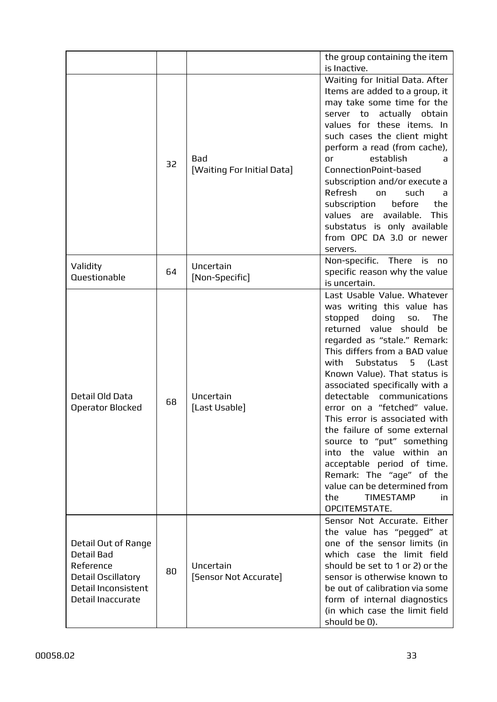|                                                                                                                         |    |                                    | the group containing the item                                                                                                                                                                                                                                                                                                                                                                                                                                                                                                                                                                                                           |
|-------------------------------------------------------------------------------------------------------------------------|----|------------------------------------|-----------------------------------------------------------------------------------------------------------------------------------------------------------------------------------------------------------------------------------------------------------------------------------------------------------------------------------------------------------------------------------------------------------------------------------------------------------------------------------------------------------------------------------------------------------------------------------------------------------------------------------------|
|                                                                                                                         | 32 | Bad<br>[Waiting For Initial Data]  | is Inactive.<br>Waiting for Initial Data. After<br>Items are added to a group, it<br>may take some time for the<br>server to actually obtain<br>values for these items. In<br>such cases the client might<br>perform a read (from cache),<br>establish<br>or<br>a<br>ConnectionPoint-based<br>subscription and/or execute a<br>Refresh<br>such<br>on on<br>a<br>the<br>subscription<br>before<br>values are available.<br><b>This</b><br>substatus is only available<br>from OPC DA 3.0 or newer<br>servers.                                                                                                                            |
| Validity<br>Questionable                                                                                                | 64 | Uncertain<br>[Non-Specific]        | Non-specific. There is no<br>specific reason why the value<br>is uncertain.                                                                                                                                                                                                                                                                                                                                                                                                                                                                                                                                                             |
| Detail Old Data<br>Operator Blocked                                                                                     | 68 | Uncertain<br>[Last Usable]         | Last Usable Value. Whatever<br>was writing this value has<br>stopped doing<br>The<br><b>SO.</b><br>returned value should<br>be<br>regarded as "stale." Remark:<br>This differs from a BAD value<br>with<br>Substatus 5<br>(Last<br>Known Value). That status is<br>associated specifically with a<br>detectable<br>communications<br>error on a "fetched" value.<br>This error is associated with<br>the failure of some external<br>source to "put" something<br>into the value within an<br>acceptable period of time.<br>Remark: The "age" of the<br>value can be determined from<br><b>TIMESTAMP</b><br>the<br>in.<br>OPCITEMSTATE. |
| Detail Out of Range<br><b>Detail Bad</b><br>Reference<br>Detail Oscillatory<br>Detail Inconsistent<br>Detail Inaccurate | 80 | Uncertain<br>[Sensor Not Accurate] | Sensor Not Accurate, Either<br>the value has "pegged" at<br>one of the sensor limits (in<br>which case the limit field<br>should be set to 1 or 2) or the<br>sensor is otherwise known to<br>be out of calibration via some<br>form of internal diagnostics<br>(in which case the limit field<br>should be 0).                                                                                                                                                                                                                                                                                                                          |